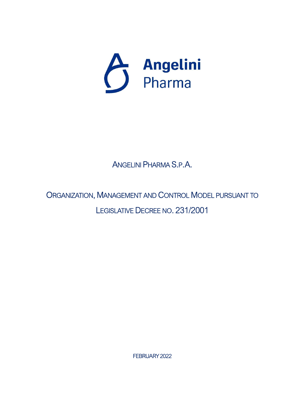

ANGELINI PHARMA S.P.A.

ORGANIZATION, MANAGEMENT AND CONTROL MODEL PURSUANT TO LEGISLATIVE DECREE NO. 231/2001

FEBRUARY 2022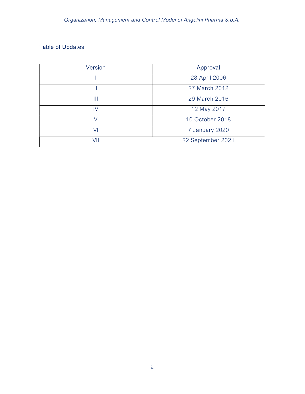## Table of Updates

| <b>Version</b> | Approval          |
|----------------|-------------------|
|                | 28 April 2006     |
|                | 27 March 2012     |
| Ш              | 29 March 2016     |
| IV             | 12 May 2017       |
|                | 10 October 2018   |
| V١             | 7 January 2020    |
| VII            | 22 September 2021 |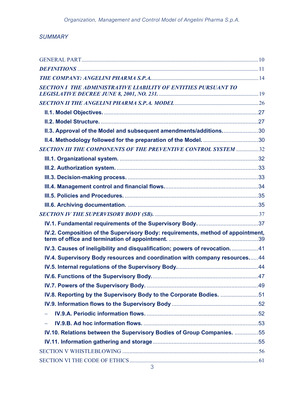## **SUMMARY**

| SECTION 1 THE ADMINISTRATIVE LIABILITY OF ENTITIES PURSUANT TO                  |  |
|---------------------------------------------------------------------------------|--|
|                                                                                 |  |
|                                                                                 |  |
|                                                                                 |  |
| II.3. Approval of the Model and subsequent amendments/additions30               |  |
|                                                                                 |  |
| SECTION III THE COMPONENTS OF THE PREVENTIVE CONTROL SYSTEM 32                  |  |
|                                                                                 |  |
|                                                                                 |  |
|                                                                                 |  |
|                                                                                 |  |
|                                                                                 |  |
|                                                                                 |  |
|                                                                                 |  |
|                                                                                 |  |
| IV.2. Composition of the Supervisory Body: requirements, method of appointment, |  |
| IV.3. Causes of ineligibility and disqualification; powers of revocation41      |  |
| IV.4. Supervisory Body resources and coordination with company resources44      |  |
|                                                                                 |  |
|                                                                                 |  |
|                                                                                 |  |
| IV.8. Reporting by the Supervisory Body to the Corporate Bodies. 51             |  |
|                                                                                 |  |
|                                                                                 |  |
| $\equiv$                                                                        |  |
| IV.10. Relations between the Supervisory Bodies of Group Companies. 55          |  |
|                                                                                 |  |
|                                                                                 |  |
|                                                                                 |  |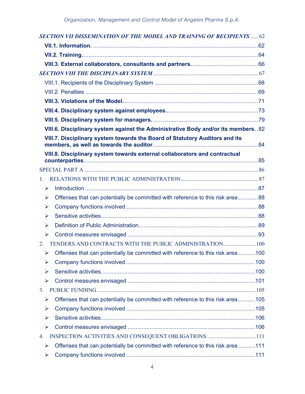|    | <b>SECTION VII DISSEMINATION OF THE MODEL AND TRAINING OF RECIPIENTS 62</b>        |  |
|----|------------------------------------------------------------------------------------|--|
|    |                                                                                    |  |
|    |                                                                                    |  |
|    |                                                                                    |  |
|    |                                                                                    |  |
|    |                                                                                    |  |
|    |                                                                                    |  |
|    |                                                                                    |  |
|    |                                                                                    |  |
|    |                                                                                    |  |
|    | VIII.6. Disciplinary system against the Administrative Body and/or its members. 82 |  |
|    | VIII.7. Disciplinary system towards the Board of Statutory Auditors and its        |  |
|    | VIII.8. Disciplinary system towards external collaborators and contractual         |  |
|    |                                                                                    |  |
| 1. |                                                                                    |  |
| ⋗  |                                                                                    |  |
| ⋗  | Offenses that can potentially be committed with reference to this risk area88      |  |
| ➤  |                                                                                    |  |
| ⋗  |                                                                                    |  |
| ⋗  |                                                                                    |  |
| ➤  |                                                                                    |  |
| 2. | TENDERS AND CONTRACTS WITH THE PUBLIC ADMINISTRATION 100                           |  |
| ➤  | Offenses that can potentially be committed with reference to this risk area100     |  |
| ➤  |                                                                                    |  |
| ⋗  |                                                                                    |  |
| ⋗  |                                                                                    |  |
| 3. |                                                                                    |  |
| ➤  | Offenses that can potentially be committed with reference to this risk area 105    |  |
| ➤  |                                                                                    |  |
| ⋗  |                                                                                    |  |
| ⋗  |                                                                                    |  |
| 4. |                                                                                    |  |
| ➤  | Offenses that can potentially be committed with reference to this risk area111     |  |
| ➤  |                                                                                    |  |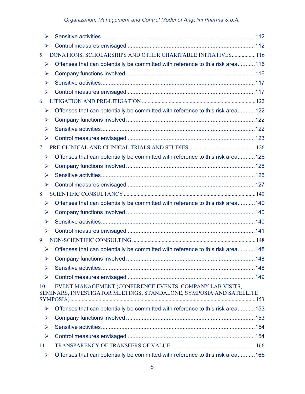| ➤   |                                                                                                                                 |  |
|-----|---------------------------------------------------------------------------------------------------------------------------------|--|
| ➤   |                                                                                                                                 |  |
| 5.  | DONATIONS, SCHOLARSHIPS AND OTHER CHARITABLE INITIATIVES116                                                                     |  |
| ➤   | Offenses that can potentially be committed with reference to this risk area116                                                  |  |
| ⋗   |                                                                                                                                 |  |
| ➤   |                                                                                                                                 |  |
| ➤   |                                                                                                                                 |  |
| 6.  |                                                                                                                                 |  |
| ➤   | Offenses that can potentially be committed with reference to this risk area 122                                                 |  |
| ⋗   |                                                                                                                                 |  |
| ➤   |                                                                                                                                 |  |
| ➤   |                                                                                                                                 |  |
| 7.  |                                                                                                                                 |  |
| ➤   | Offenses that can potentially be committed with reference to this risk area126                                                  |  |
| ⋗   |                                                                                                                                 |  |
| ⋗   |                                                                                                                                 |  |
| ➤   |                                                                                                                                 |  |
| 8.  |                                                                                                                                 |  |
| ➤   | Offenses that can potentially be committed with reference to this risk area140                                                  |  |
| ➤   |                                                                                                                                 |  |
| ⋗   |                                                                                                                                 |  |
| ➤   |                                                                                                                                 |  |
| 9.  |                                                                                                                                 |  |
| ⋗   | Offenses that can potentially be committed with reference to this risk area148                                                  |  |
| ⋗   |                                                                                                                                 |  |
| ⋗   |                                                                                                                                 |  |
| ➤   |                                                                                                                                 |  |
| 10. | EVENT MANAGEMENT (CONFERENCE EVENTS, COMPANY LAB VISITS,<br>SEMINARS, INVESTIGATOR MEETINGS, STANDALONE, SYMPOSIA AND SATELLITE |  |
| ➤   | Offenses that can potentially be committed with reference to this risk area153                                                  |  |
| ➤   |                                                                                                                                 |  |
| ➤   |                                                                                                                                 |  |
| ➤   |                                                                                                                                 |  |
| 11. |                                                                                                                                 |  |
| ➤   | Offenses that can potentially be committed with reference to this risk area166                                                  |  |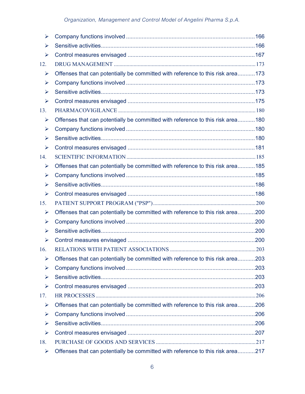| ➤                     |                                                                                 |  |
|-----------------------|---------------------------------------------------------------------------------|--|
| ⋗                     |                                                                                 |  |
| ➤                     |                                                                                 |  |
| 12.                   |                                                                                 |  |
| ➤                     | Offenses that can potentially be committed with reference to this risk area173  |  |
| ➤                     |                                                                                 |  |
| ⋗                     |                                                                                 |  |
| $\blacktriangleright$ |                                                                                 |  |
| 13.                   |                                                                                 |  |
| ➤                     | Offenses that can potentially be committed with reference to this risk area180  |  |
| ➤                     |                                                                                 |  |
| ➤                     |                                                                                 |  |
| $\blacktriangleright$ |                                                                                 |  |
| 14.                   |                                                                                 |  |
| ➤                     | Offenses that can potentially be committed with reference to this risk area 185 |  |
| ➤                     |                                                                                 |  |
| ➤                     |                                                                                 |  |
| $\blacktriangleright$ |                                                                                 |  |
| 15.                   |                                                                                 |  |
| ➤                     | Offenses that can potentially be committed with reference to this risk area200  |  |
| ➤                     |                                                                                 |  |
| ➤                     |                                                                                 |  |
| $\blacktriangleright$ |                                                                                 |  |
| 16.                   |                                                                                 |  |
| ➤                     | Offenses that can potentially be committed with reference to this risk area203  |  |
| ⋗                     |                                                                                 |  |
| ⋗                     |                                                                                 |  |
| ➤                     |                                                                                 |  |
| 17.                   |                                                                                 |  |
| ➤                     | Offenses that can potentially be committed with reference to this risk area206  |  |
| ➤                     |                                                                                 |  |
| ➤                     |                                                                                 |  |
| ➤                     |                                                                                 |  |
| 18.                   |                                                                                 |  |
| ➤                     | Offenses that can potentially be committed with reference to this risk area217  |  |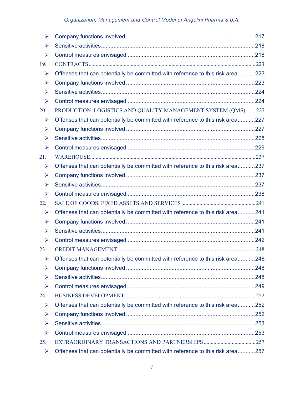| ⋗   |                                                                                |  |
|-----|--------------------------------------------------------------------------------|--|
| ⋗   |                                                                                |  |
| ➤   |                                                                                |  |
| 19. |                                                                                |  |
| ➤   | Offenses that can potentially be committed with reference to this risk area223 |  |
| ⋗   |                                                                                |  |
| ⋗   |                                                                                |  |
| ➤   |                                                                                |  |
| 20. | PRODUCTION, LOGISTICS AND QUALITY MANAGEMENT SYSTEM (QMS) 227                  |  |
| ➤   | Offenses that can potentially be committed with reference to this risk area227 |  |
| ⋗   |                                                                                |  |
| ⋗   |                                                                                |  |
| ➤   |                                                                                |  |
| 21. |                                                                                |  |
| ➤   | Offenses that can potentially be committed with reference to this risk area237 |  |
| ⋗   |                                                                                |  |
| ⋗   |                                                                                |  |
| ➤   |                                                                                |  |
| 22. |                                                                                |  |
| ➤   | Offenses that can potentially be committed with reference to this risk area241 |  |
| ⋗   |                                                                                |  |
| ⋗   |                                                                                |  |
| ➤   |                                                                                |  |
| 23. |                                                                                |  |
| ➤   | Offenses that can potentially be committed with reference to this risk area248 |  |
| ➤   |                                                                                |  |
| ⋗   |                                                                                |  |
| ➤   |                                                                                |  |
| 24. |                                                                                |  |
| ➤   | Offenses that can potentially be committed with reference to this risk area252 |  |
| ➤   |                                                                                |  |
| ⋗   |                                                                                |  |
| ➤   |                                                                                |  |
| 25. |                                                                                |  |
| ➤   | Offenses that can potentially be committed with reference to this risk area257 |  |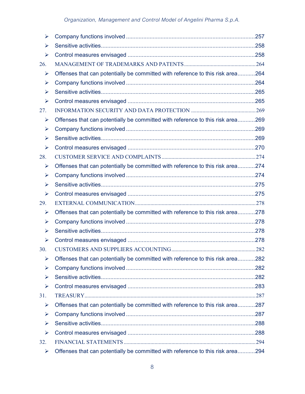| ⋗   |                                                                                |  |
|-----|--------------------------------------------------------------------------------|--|
| ⋗   |                                                                                |  |
| ⋗   |                                                                                |  |
| 26. |                                                                                |  |
| ➤   | Offenses that can potentially be committed with reference to this risk area264 |  |
| ⋗   |                                                                                |  |
| ⋗   |                                                                                |  |
| ➤   |                                                                                |  |
| 27. |                                                                                |  |
| ➤   | Offenses that can potentially be committed with reference to this risk area269 |  |
| ➤   |                                                                                |  |
| ⋗   |                                                                                |  |
| ➤   |                                                                                |  |
| 28. |                                                                                |  |
| ➤   | Offenses that can potentially be committed with reference to this risk area274 |  |
| ➤   |                                                                                |  |
| ⋗   |                                                                                |  |
| ➤   |                                                                                |  |
| 29. |                                                                                |  |
| ➤   | Offenses that can potentially be committed with reference to this risk area278 |  |
| ⋗   |                                                                                |  |
| ➤   |                                                                                |  |
| ➤   |                                                                                |  |
| 30. |                                                                                |  |
| ➤   | Offenses that can potentially be committed with reference to this risk area282 |  |
| ⋗   |                                                                                |  |
| ⋗   |                                                                                |  |
| ➤   |                                                                                |  |
| 31. |                                                                                |  |
| ➤   | Offenses that can potentially be committed with reference to this risk area287 |  |
| ➤   |                                                                                |  |
| ⋗   |                                                                                |  |
| ➤   |                                                                                |  |
| 32. |                                                                                |  |
| ➤   | Offenses that can potentially be committed with reference to this risk area294 |  |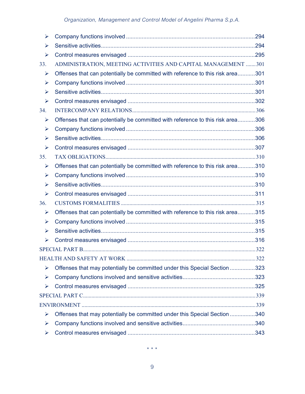| ➤   |                                                                                |  |
|-----|--------------------------------------------------------------------------------|--|
| ⋗   |                                                                                |  |
| ➤   |                                                                                |  |
| 33. | ADMINISTRATION, MEETING ACTIVITIES AND CAPITAL MANAGEMENT 301                  |  |
| ➤   | Offenses that can potentially be committed with reference to this risk area301 |  |
| ➤   |                                                                                |  |
| ➤   |                                                                                |  |
| ➤   |                                                                                |  |
| 34. |                                                                                |  |
| ➤   | Offenses that can potentially be committed with reference to this risk area306 |  |
| ➤   |                                                                                |  |
| ⋗   |                                                                                |  |
| ➤   |                                                                                |  |
| 35. |                                                                                |  |
| ➤   | Offenses that can potentially be committed with reference to this risk area310 |  |
| ➤   |                                                                                |  |
| ➤   |                                                                                |  |
| ➤   |                                                                                |  |
| 36. |                                                                                |  |
| ➤   | Offenses that can potentially be committed with reference to this risk area315 |  |
| ➤   |                                                                                |  |
| ➤   |                                                                                |  |
| ➤   |                                                                                |  |
|     |                                                                                |  |
|     |                                                                                |  |
| ⋗   | Offenses that may potentially be committed under this Special Section 323      |  |
| ➤   |                                                                                |  |
| ➤   |                                                                                |  |
|     |                                                                                |  |
|     |                                                                                |  |
| ➤   | Offenses that may potentially be committed under this Special Section 340      |  |
| ➤   |                                                                                |  |
| ➤   |                                                                                |  |

\* \* \*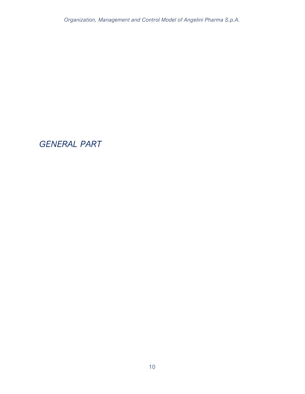GENERAL PART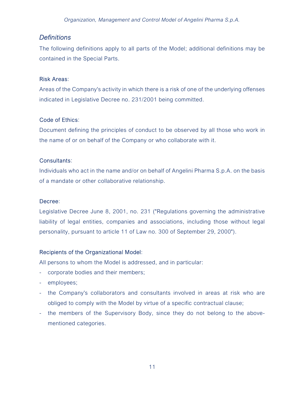## **Definitions**

The following definitions apply to all parts of the Model; additional definitions may be contained in the Special Parts.

### Risk Areas:

Areas of the Company's activity in which there is a risk of one of the underlying offenses indicated in Legislative Decree no. 231/2001 being committed.

## Code of Ethics:

Document defining the principles of conduct to be observed by all those who work in the name of or on behalf of the Company or who collaborate with it.

### Consultants:

Individuals who act in the name and/or on behalf of Angelini Pharma S.p.A. on the basis of a mandate or other collaborative relationship.

### Decree:

Legislative Decree June 8, 2001, no. 231 ("Regulations governing the administrative liability of legal entities, companies and associations, including those without legal personality, pursuant to article 11 of Law no. 300 of September 29, 2000").

## Recipients of the Organizational Model:

All persons to whom the Model is addressed, and in particular:

- corporate bodies and their members;
- employees;
- the Company's collaborators and consultants involved in areas at risk who are obliged to comply with the Model by virtue of a specific contractual clause;
- the members of the Supervisory Body, since they do not belong to the abovementioned categories.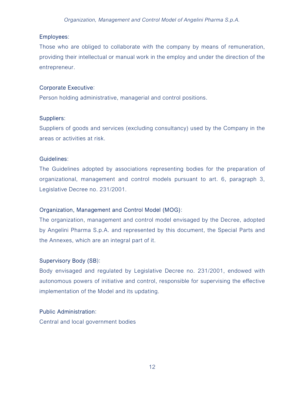### Employees:

Those who are obliged to collaborate with the company by means of remuneration, providing their intellectual or manual work in the employ and under the direction of the entrepreneur.

### Corporate Executive:

Person holding administrative, managerial and control positions.

### Suppliers:

Suppliers of goods and services (excluding consultancy) used by the Company in the areas or activities at risk.

### Guidelines:

The Guidelines adopted by associations representing bodies for the preparation of organizational, management and control models pursuant to art. 6, paragraph 3, Legislative Decree no. 231/2001.

## Organization, Management and Control Model (MOG):

The organization, management and control model envisaged by the Decree, adopted by Angelini Pharma S.p.A. and represented by this document, the Special Parts and the Annexes, which are an integral part of it.

## Supervisory Body (SB):

Body envisaged and regulated by Legislative Decree no. 231/2001, endowed with autonomous powers of initiative and control, responsible for supervising the effective implementation of the Model and its updating.

## Public Administration:

Central and local government bodies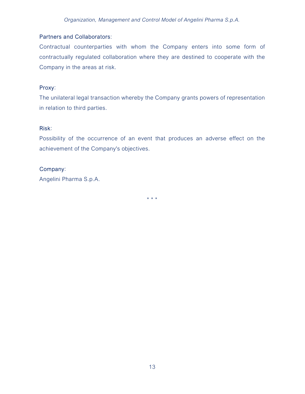## Partners and Collaborators:

Contractual counterparties with whom the Company enters into some form of contractually regulated collaboration where they are destined to cooperate with the Company in the areas at risk.

### Proxy:

The unilateral legal transaction whereby the Company grants powers of representation in relation to third parties.

### Risk:

Possibility of the occurrence of an event that produces an adverse effect on the achievement of the Company's objectives.

### Company:

Angelini Pharma S.p.A.

\* \* \*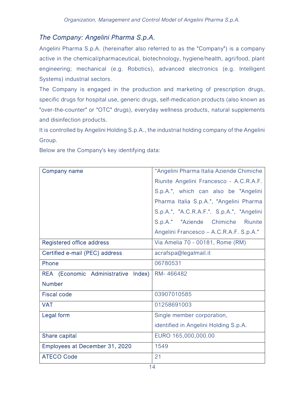## The Company: Angelini Pharma S.p.A.

Angelini Pharma S.p.A. (hereinafter also referred to as the "Company") is a company active in the chemical/pharmaceutical, biotechnology, hygiene/health, agri/food, plant engineering; mechanical (e.g. Robotics), advanced electronics (e.g. Intelligent Systems) industrial sectors.

The Company is engaged in the production and marketing of prescription drugs, specific drugs for hospital use, generic drugs, self-medication products (also known as "over-the-counter" or "OTC" drugs), everyday wellness products, natural supplements and disinfection products.

It is controlled by Angelini Holding S.p.A., the industrial holding company of the Angelini Group.

Below are the Company's key identifying data:

| Company name                        | "Angelini Pharma Italia Aziende Chimiche  |
|-------------------------------------|-------------------------------------------|
|                                     | Riunite Angelini Francesco - A.C.R.A.F.   |
|                                     | S.p.A.", which can also be "Angelini      |
|                                     | Pharma Italia S.p.A.", "Angelini Pharma   |
|                                     | S.p.A.", "A.C.R.A.F.". S.p.A.", "Angelini |
|                                     | S.p.A." "Aziende Chimiche Riunite         |
|                                     | Angelini Francesco - A.C.R.A.F. S.p.A."   |
| Registered office address           | Via Amelia 70 - 00181, Rome (RM)          |
| Certified e-mail (PEC) address      | acrafspa@legalmail.it                     |
| Phone                               | 06780531                                  |
| REA (Economic Administrative Index) | RM-466482                                 |
| <b>Number</b>                       |                                           |
| <b>Fiscal code</b>                  | 03907010585                               |
| <b>VAT</b>                          | 01258691003                               |
| Legal form                          | Single member corporation,                |
|                                     | identified in Angelini Holding S.p.A.     |
| Share capital                       | EURO 165,000,000.00                       |
| Employees at December 31, 2020      | 1549                                      |
| <b>ATECO Code</b>                   | 21                                        |
|                                     |                                           |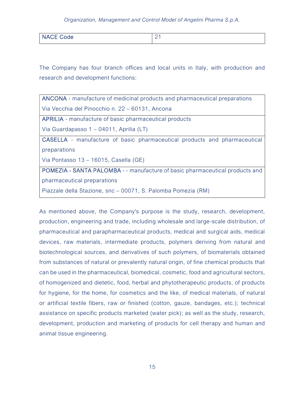| NACE Coo<br><b>INAUL COUP</b> | <u>_</u> |
|-------------------------------|----------|
|                               |          |

The Company has four branch offices and local units in Italy, with production and research and development functions:

ANCONA - manufacture of medicinal products and pharmaceutical preparations Via Vecchia del Pinocchio n. 22 – 60131, Ancona

APRILIA - manufacture of basic pharmaceutical products

Via Guardapasso 1 – 04011, Aprilia (LT)

CASELLA - manufacture of basic pharmaceutical products and pharmaceutical preparations

Via Pontasso 13 – 16015, Casella (GE)

POMEZIA - SANTA PALOMBA - - manufacture of basic pharmaceutical products and pharmaceutical preparations

Piazzale della Stazione, snc – 00071, S. Palomba Pomezia (RM)

As mentioned above, the Company's purpose is the study, research, development, production, engineering and trade, including wholesale and large-scale distribution, of pharmaceutical and parapharmaceutical products, medical and surgical aids, medical devices, raw materials, intermediate products, polymers deriving from natural and biotechnological sources, and derivatives of such polymers, of biomaterials obtained from substances of natural or prevalently natural origin, of fine chemical products that can be used in the pharmaceutical, biomedical, cosmetic, food and agricultural sectors, of homogenized and dietetic, food, herbal and phytotherapeutic products, of products for hygiene, for the home, for cosmetics and the like, of medical materials, of natural or artificial textile fibers, raw or finished (cotton, gauze, bandages, etc.); technical assistance on specific products marketed (water pick); as well as the study, research, development, production and marketing of products for cell therapy and human and animal tissue engineering.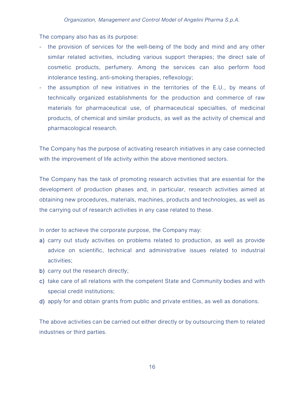The company also has as its purpose:

- the provision of services for the well-being of the body and mind and any other similar related activities, including various support therapies; the direct sale of cosmetic products, perfumery. Among the services can also perform food intolerance testing, anti-smoking therapies, reflexology;
- the assumption of new initiatives in the territories of the E.U., by means of technically organized establishments for the production and commerce of raw materials for pharmaceutical use, of pharmaceutical specialties, of medicinal products, of chemical and similar products, as well as the activity of chemical and pharmacological research.

The Company has the purpose of activating research initiatives in any case connected with the improvement of life activity within the above mentioned sectors.

The Company has the task of promoting research activities that are essential for the development of production phases and, in particular, research activities aimed at obtaining new procedures, materials, machines, products and technologies, as well as the carrying out of research activities in any case related to these.

In order to achieve the corporate purpose, the Company may:

- a) carry out study activities on problems related to production, as well as provide advice on scientific, technical and administrative issues related to industrial activities;
- b) carry out the research directly;
- c) take care of all relations with the competent State and Community bodies and with special credit institutions;
- d) apply for and obtain grants from public and private entities, as well as donations.

The above activities can be carried out either directly or by outsourcing them to related industries or third parties.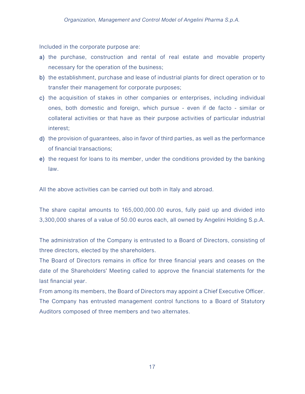Included in the corporate purpose are:

- a) the purchase, construction and rental of real estate and movable property necessary for the operation of the business;
- b) the establishment, purchase and lease of industrial plants for direct operation or to transfer their management for corporate purposes;
- c) the acquisition of stakes in other companies or enterprises, including individual ones, both domestic and foreign, which pursue - even if de facto - similar or collateral activities or that have as their purpose activities of particular industrial interest;
- d) the provision of guarantees, also in favor of third parties, as well as the performance of financial transactions;
- e) the request for loans to its member, under the conditions provided by the banking law.

All the above activities can be carried out both in Italy and abroad.

The share capital amounts to 165,000,000.00 euros, fully paid up and divided into 3,300,000 shares of a value of 50.00 euros each, all owned by Angelini Holding S.p.A.

The administration of the Company is entrusted to a Board of Directors, consisting of three directors, elected by the shareholders.

The Board of Directors remains in office for three financial years and ceases on the date of the Shareholders' Meeting called to approve the financial statements for the last financial year.

From among its members, the Board of Directors may appoint a Chief Executive Officer. The Company has entrusted management control functions to a Board of Statutory Auditors composed of three members and two alternates.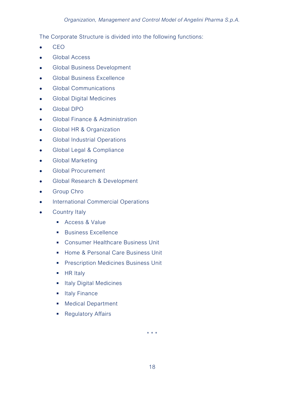The Corporate Structure is divided into the following functions:

- $\bullet$  CEO
- **Global Access**
- **Global Business Development**
- **•** Global Business Excellence
- **•** Global Communications
- **•** Global Digital Medicines
- Global DPO
- Global Finance & Administration
- Global HR & Organization
- **•** Global Industrial Operations
- Global Legal & Compliance
- **•** Global Marketing
- **Global Procurement**
- Global Research & Development
- **•** Group Chro
- **•** International Commercial Operations
- Country Italy
	- Access & Value
	- **Business Excellence**
	- **EXECONSUMER Healthcare Business Unit**
	- **Home & Personal Care Business Unit**
	- **Prescription Medicines Business Unit**
	- $H$  HR Italy
	- **Italy Digital Medicines**
	- **Italy Finance**
	- **Medical Department**
	- **Regulatory Affairs**

\* \* \*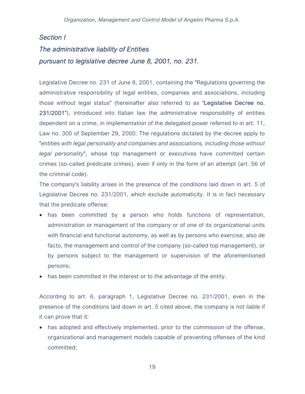# Section I The administrative liability of Entities pursuant to legislative decree June 8, 2001, no. 231.

Legislative Decree no. 231 of June 8, 2001, containing the "Regulations governing the administrative responsibility of legal entities, companies and associations, including those without legal status" (hereinafter also referred to as "Legislative Decree no. 231/2001"), introduced into Italian law the administrative responsibility of entities dependent on a crime, in implementation of the delegated power referred to in art. 11, Law no. 300 of September 29, 2000. The regulations dictated by the decree apply to "entities with legal personality and companies and associations, including those without legal personality", whose top management or executives have committed certain crimes (so-called predicate crimes), even if only in the form of an attempt (art. 56 of the criminal code).

The company's liability arises in the presence of the conditions laid down in art. 5 of Legislative Decree no. 231/2001, which exclude automaticity. It is in fact necessary that the predicate offense:

- has been committed by a person who holds functions of representation, administration or management of the company or of one of its organizational units with financial and functional autonomy, as well as by persons who exercise, also de facto, the management and control of the company (so-called top management), or by persons subject to the management or supervision of the aforementioned persons;
- has been committed in the interest or to the advantage of the entity.

According to art. 6, paragraph 1, Legislative Decree no. 231/2001, even in the presence of the conditions laid down in art. 5 cited above, the company is not liable if it can prove that it:

 has adopted and effectively implemented, prior to the commission of the offense, organizational and management models capable of preventing offenses of the kind committed;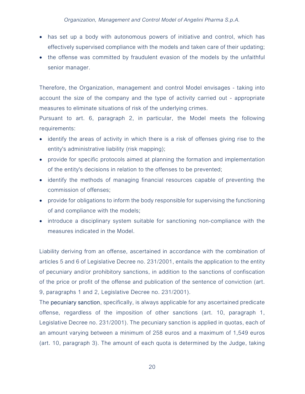- has set up a body with autonomous powers of initiative and control, which has effectively supervised compliance with the models and taken care of their updating;
- the offense was committed by fraudulent evasion of the models by the unfaithful senior manager.

Therefore, the Organization, management and control Model envisages - taking into account the size of the company and the type of activity carried out - appropriate measures to eliminate situations of risk of the underlying crimes.

Pursuant to art. 6, paragraph 2, in particular, the Model meets the following requirements:

- identify the areas of activity in which there is a risk of offenses giving rise to the entity's administrative liability (risk mapping);
- provide for specific protocols aimed at planning the formation and implementation of the entity's decisions in relation to the offenses to be prevented;
- identify the methods of managing financial resources capable of preventing the commission of offenses;
- provide for obligations to inform the body responsible for supervising the functioning of and compliance with the models;
- introduce a disciplinary system suitable for sanctioning non-compliance with the measures indicated in the Model.

Liability deriving from an offense, ascertained in accordance with the combination of articles 5 and 6 of Legislative Decree no. 231/2001, entails the application to the entity of pecuniary and/or prohibitory sanctions, in addition to the sanctions of confiscation of the price or profit of the offense and publication of the sentence of conviction (art. 9, paragraphs 1 and 2, Legislative Decree no. 231/2001).

The **pecuniary sanction**, specifically, is always applicable for any ascertained predicate offense, regardless of the imposition of other sanctions (art. 10, paragraph 1, Legislative Decree no. 231/2001). The pecuniary sanction is applied in quotas, each of an amount varying between a minimum of 258 euros and a maximum of 1,549 euros (art. 10, paragraph 3). The amount of each quota is determined by the Judge, taking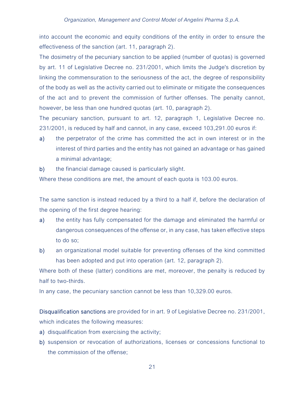into account the economic and equity conditions of the entity in order to ensure the effectiveness of the sanction (art. 11, paragraph 2).

The dosimetry of the pecuniary sanction to be applied (number of quotas) is governed by art. 11 of Legislative Decree no. 231/2001, which limits the Judge's discretion by linking the commensuration to the seriousness of the act, the degree of responsibility of the body as well as the activity carried out to eliminate or mitigate the consequences of the act and to prevent the commission of further offenses. The penalty cannot, however, be less than one hundred quotas (art. 10, paragraph 2).

The pecuniary sanction, pursuant to art. 12, paragraph 1, Legislative Decree no. 231/2001, is reduced by half and cannot, in any case, exceed 103,291.00 euros if:

- a) the perpetrator of the crime has committed the act in own interest or in the interest of third parties and the entity has not gained an advantage or has gained a minimal advantage;
- b) the financial damage caused is particularly slight.

Where these conditions are met, the amount of each quota is 103.00 euros.

The same sanction is instead reduced by a third to a half if, before the declaration of the opening of the first degree hearing:

- a) the entity has fully compensated for the damage and eliminated the harmful or dangerous consequences of the offense or, in any case, has taken effective steps to do so;
- b) an organizational model suitable for preventing offenses of the kind committed has been adopted and put into operation (art. 12, paragraph 2).

Where both of these (latter) conditions are met, moreover, the penalty is reduced by half to two-thirds.

In any case, the pecuniary sanction cannot be less than 10,329.00 euros.

Disqualification sanctions are provided for in art. 9 of Legislative Decree no. 231/2001, which indicates the following measures:

- a) disqualification from exercising the activity;
- b) suspension or revocation of authorizations, licenses or concessions functional to the commission of the offense;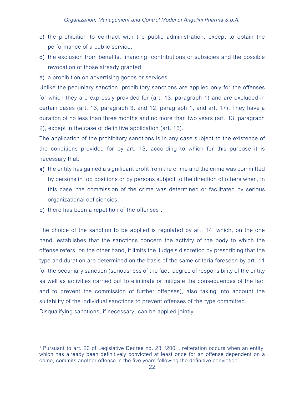- c) the prohibition to contract with the public administration, except to obtain the performance of a public service;
- d) the exclusion from benefits, financing, contributions or subsidies and the possible revocation of those already granted;
- e) a prohibition on advertising goods or services.

Unlike the pecuniary sanction, prohibitory sanctions are applied only for the offenses for which they are expressly provided for (art. 13, paragraph 1) and are excluded in certain cases (art. 13, paragraph 3, and 12, paragraph 1, and art. 17). They have a duration of no less than three months and no more than two years (art. 13, paragraph 2), except in the case of definitive application (art. 16).

The application of the prohibitory sanctions is in any case subject to the existence of the conditions provided for by art. 13, according to which for this purpose it is necessary that:

- a) the entity has gained a significant profit from the crime and the crime was committed by persons in top positions or by persons subject to the direction of others when, in this case, the commission of the crime was determined or facilitated by serious organizational deficiencies;
- b) there has been a repetition of the offenses<sup>1</sup>.

The choice of the sanction to be applied is regulated by art. 14, which, on the one hand, establishes that the sanctions concern the activity of the body to which the offense refers; on the other hand, it limits the Judge's discretion by prescribing that the type and duration are determined on the basis of the same criteria foreseen by art. 11 for the pecuniary sanction (seriousness of the fact, degree of responsibility of the entity as well as activities carried out to eliminate or mitigate the consequences of the fact and to prevent the commission of further offenses), also taking into account the suitability of the individual sanctions to prevent offenses of the type committed. Disqualifying sanctions, if necessary, can be applied jointly.

<sup>&</sup>lt;sup>1</sup> Pursuant to art. 20 of Legislative Decree no. 231/2001, reiteration occurs when an entity, which has already been definitively convicted at least once for an offense dependent on a crime, commits another offense in the five years following the definitive conviction.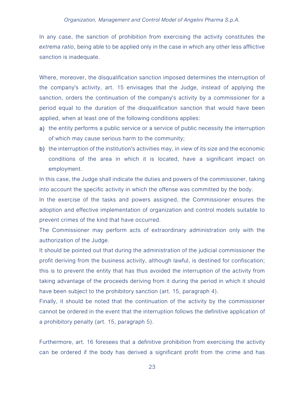In any case, the sanction of prohibition from exercising the activity constitutes the extrema ratio, being able to be applied only in the case in which any other less afflictive sanction is inadequate.

Where, moreover, the disqualification sanction imposed determines the interruption of the company's activity, art. 15 envisages that the Judge, instead of applying the sanction, orders the continuation of the company's activity by a commissioner for a period equal to the duration of the disqualification sanction that would have been applied, when at least one of the following conditions applies:

- a) the entity performs a public service or a service of public necessity the interruption of which may cause serious harm to the community;
- b) the interruption of the institution's activities may, in view of its size and the economic conditions of the area in which it is located, have a significant impact on employment.

In this case, the Judge shall indicate the duties and powers of the commissioner, taking into account the specific activity in which the offense was committed by the body.

In the exercise of the tasks and powers assigned, the Commissioner ensures the adoption and effective implementation of organization and control models suitable to prevent crimes of the kind that have occurred.

The Commissioner may perform acts of extraordinary administration only with the authorization of the Judge.

It should be pointed out that during the administration of the judicial commissioner the profit deriving from the business activity, although lawful, is destined for confiscation; this is to prevent the entity that has thus avoided the interruption of the activity from taking advantage of the proceeds deriving from it during the period in which it should have been subject to the prohibitory sanction (art. 15, paragraph 4).

Finally, it should be noted that the continuation of the activity by the commissioner cannot be ordered in the event that the interruption follows the definitive application of a prohibitory penalty (art. 15, paragraph 5).

Furthermore, art. 16 foresees that a definitive prohibition from exercising the activity can be ordered if the body has derived a significant profit from the crime and has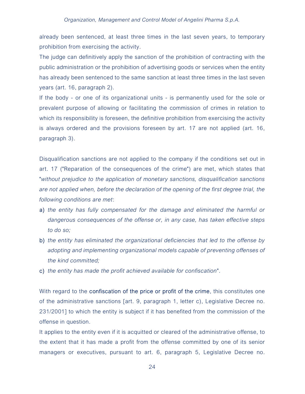already been sentenced, at least three times in the last seven years, to temporary prohibition from exercising the activity.

The judge can definitively apply the sanction of the prohibition of contracting with the public administration or the prohibition of advertising goods or services when the entity has already been sentenced to the same sanction at least three times in the last seven years (art. 16, paragraph 2).

If the body - or one of its organizational units - is permanently used for the sole or prevalent purpose of allowing or facilitating the commission of crimes in relation to which its responsibility is foreseen, the definitive prohibition from exercising the activity is always ordered and the provisions foreseen by art. 17 are not applied (art. 16, paragraph 3).

Disqualification sanctions are not applied to the company if the conditions set out in art. 17 ("Reparation of the consequences of the crime") are met, which states that "without prejudice to the application of monetary sanctions, disqualification sanctions are not applied when, before the declaration of the opening of the first degree trial, the following conditions are met:

- a) the entity has fully compensated for the damage and eliminated the harmful or dangerous consequences of the offense or, in any case, has taken effective steps to do so;
- b) the entity has eliminated the organizational deficiencies that led to the offense by adopting and implementing organizational models capable of preventing offenses of the kind committed;
- c) the entity has made the profit achieved available for confiscation".

With regard to the **confiscation of the price or profit of the crime**, this constitutes one of the administrative sanctions [art. 9, paragraph 1, letter c), Legislative Decree no. 231/2001] to which the entity is subject if it has benefited from the commission of the offense in question.

It applies to the entity even if it is acquitted or cleared of the administrative offense, to the extent that it has made a profit from the offense committed by one of its senior managers or executives, pursuant to art. 6, paragraph 5, Legislative Decree no.

24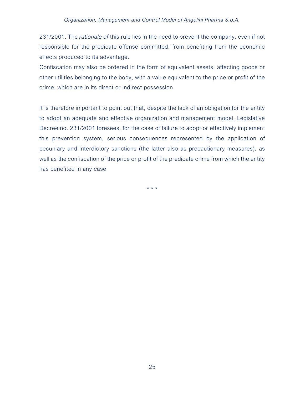231/2001. The *rationale of this rule lies in the need to prevent the company, even if not* responsible for the predicate offense committed, from benefiting from the economic effects produced to its advantage.

Confiscation may also be ordered in the form of equivalent assets, affecting goods or other utilities belonging to the body, with a value equivalent to the price or profit of the crime, which are in its direct or indirect possession.

It is therefore important to point out that, despite the lack of an obligation for the entity to adopt an adequate and effective organization and management model, Legislative Decree no. 231/2001 foresees, for the case of failure to adopt or effectively implement this prevention system, serious consequences represented by the application of pecuniary and interdictory sanctions (the latter also as precautionary measures), as well as the confiscation of the price or profit of the predicate crime from which the entity has benefited in any case.

\* \* \*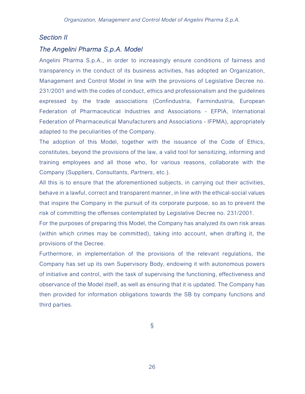## Section II

## The Angelini Pharma S.p.A. Model

Angelini Pharma S.p.A., in order to increasingly ensure conditions of fairness and transparency in the conduct of its business activities, has adopted an Organization, Management and Control Model in line with the provisions of Legislative Decree no. 231/2001 and with the codes of conduct, ethics and professionalism and the guidelines expressed by the trade associations (Confindustria, Farmindustria, European Federation of Pharmaceutical Industries and Associations - EFPIA, International Federation of Pharmaceutical Manufacturers and Associations - IFPMA), appropriately adapted to the peculiarities of the Company.

The adoption of this Model, together with the issuance of the Code of Ethics, constitutes, beyond the provisions of the law, a valid tool for sensitizing, informing and training employees and all those who, for various reasons, collaborate with the Company (Suppliers, Consultants, Partners, etc.).

All this is to ensure that the aforementioned subjects, in carrying out their activities, behave in a lawful, correct and transparent manner, in line with the ethical-social values that inspire the Company in the pursuit of its corporate purpose, so as to prevent the risk of committing the offenses contemplated by Legislative Decree no. 231/2001.

For the purposes of preparing this Model, the Company has analyzed its own risk areas (within which crimes may be committed), taking into account, when drafting it, the provisions of the Decree.

Furthermore, in implementation of the provisions of the relevant regulations, the Company has set up its own Supervisory Body, endowing it with autonomous powers of initiative and control, with the task of supervising the functioning, effectiveness and observance of the Model itself, as well as ensuring that it is updated. The Company has then provided for information obligations towards the SB by company functions and third parties.

§

26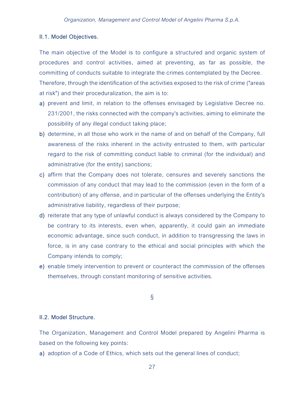### II.1. Model Objectives.

The main objective of the Model is to configure a structured and organic system of procedures and control activities, aimed at preventing, as far as possible, the committing of conducts suitable to integrate the crimes contemplated by the Decree. Therefore, through the identification of the activities exposed to the risk of crime ("areas at risk") and their proceduralization, the aim is to:

- a) prevent and limit, in relation to the offenses envisaged by Legislative Decree no. 231/2001, the risks connected with the company's activities, aiming to eliminate the possibility of any illegal conduct taking place;
- b) determine, in all those who work in the name of and on behalf of the Company, full awareness of the risks inherent in the activity entrusted to them, with particular regard to the risk of committing conduct liable to criminal (for the individual) and administrative (for the entity) sanctions;
- c) affirm that the Company does not tolerate, censures and severely sanctions the commission of any conduct that may lead to the commission (even in the form of a contribution) of any offense, and in particular of the offenses underlying the Entity's administrative liability, regardless of their purpose;
- d) reiterate that any type of unlawful conduct is always considered by the Company to be contrary to its interests, even when, apparently, it could gain an immediate economic advantage, since such conduct, in addition to transgressing the laws in force, is in any case contrary to the ethical and social principles with which the Company intends to comply;
- e) enable timely intervention to prevent or counteract the commission of the offenses themselves, through constant monitoring of sensitive activities.

### §

### II.2. Model Structure.

The Organization, Management and Control Model prepared by Angelini Pharma is based on the following key points:

a) adoption of a Code of Ethics, which sets out the general lines of conduct;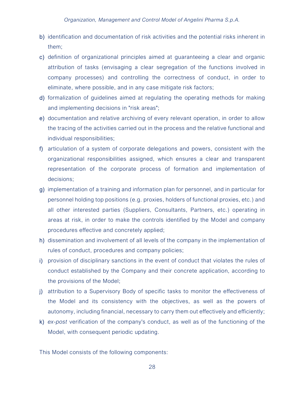- b) identification and documentation of risk activities and the potential risks inherent in them;
- c) definition of organizational principles aimed at guaranteeing a clear and organic attribution of tasks (envisaging a clear segregation of the functions involved in company processes) and controlling the correctness of conduct, in order to eliminate, where possible, and in any case mitigate risk factors;
- d) formalization of guidelines aimed at regulating the operating methods for making and implementing decisions in "risk areas";
- e) documentation and relative archiving of every relevant operation, in order to allow the tracing of the activities carried out in the process and the relative functional and individual responsibilities;
- f) articulation of a system of corporate delegations and powers, consistent with the organizational responsibilities assigned, which ensures a clear and transparent representation of the corporate process of formation and implementation of decisions;
- g) implementation of a training and information plan for personnel, and in particular for personnel holding top positions (e.g. proxies, holders of functional proxies, etc.) and all other interested parties (Suppliers, Consultants, Partners, etc.) operating in areas at risk, in order to make the controls identified by the Model and company procedures effective and concretely applied;
- h) dissemination and involvement of all levels of the company in the implementation of rules of conduct, procedures and company policies;
- i) provision of disciplinary sanctions in the event of conduct that violates the rules of conduct established by the Company and their concrete application, according to the provisions of the Model;
- j) attribution to a Supervisory Body of specific tasks to monitor the effectiveness of the Model and its consistency with the objectives, as well as the powers of autonomy, including financial, necessary to carry them out effectively and efficiently;
- k) ex-post verification of the company's conduct, as well as of the functioning of the Model, with consequent periodic updating.

This Model consists of the following components: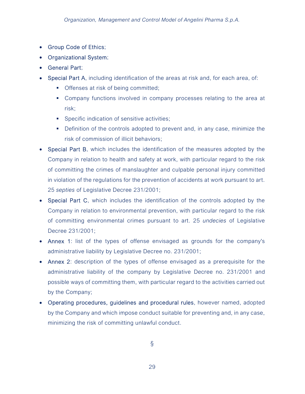- Group Code of Ethics;
- Organizational System;
- General Part;
- Special Part A, including identification of the areas at risk and, for each area, of:
	- **Offenses at risk of being committed;**
	- Company functions involved in company processes relating to the area at risk;
	- **Specific indication of sensitive activities;**
	- Definition of the controls adopted to prevent and, in any case, minimize the risk of commission of illicit behaviors;
- Special Part B, which includes the identification of the measures adopted by the Company in relation to health and safety at work, with particular regard to the risk of committing the crimes of manslaughter and culpable personal injury committed in violation of the regulations for the prevention of accidents at work pursuant to art. 25 septies of Legislative Decree 231/2001;
- Special Part C, which includes the identification of the controls adopted by the Company in relation to environmental prevention, with particular regard to the risk of committing environmental crimes pursuant to art. 25 undecies of Legislative Decree 231/2001;
- Annex 1: list of the types of offense envisaged as grounds for the company's administrative liability by Legislative Decree no. 231/2001;
- Annex 2: description of the types of offense envisaged as a prerequisite for the administrative liability of the company by Legislative Decree no. 231/2001 and possible ways of committing them, with particular regard to the activities carried out by the Company;
- Operating procedures, guidelines and procedural rules, however named, adopted by the Company and which impose conduct suitable for preventing and, in any case, minimizing the risk of committing unlawful conduct.

§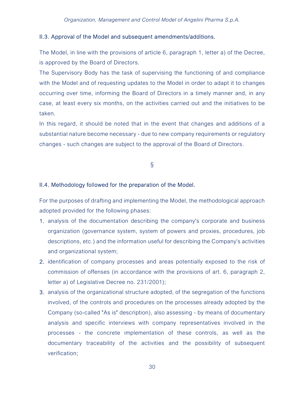### II.3. Approval of the Model and subsequent amendments/additions.

The Model, in line with the provisions of article 6, paragraph 1, letter a) of the Decree, is approved by the Board of Directors.

The Supervisory Body has the task of supervising the functioning of and compliance with the Model and of requesting updates to the Model in order to adapt it to changes occurring over time, informing the Board of Directors in a timely manner and, in any case, at least every six months, on the activities carried out and the initiatives to be taken.

In this regard, it should be noted that in the event that changes and additions of a substantial nature become necessary - due to new company requirements or regulatory changes - such changes are subject to the approval of the Board of Directors.

## §

### II.4. Methodology followed for the preparation of the Model.

For the purposes of drafting and implementing the Model, the methodological approach adopted provided for the following phases:

- 1. analysis of the documentation describing the company's corporate and business organization (governance system, system of powers and proxies, procedures, job descriptions, etc.) and the information useful for describing the Company's activities and organizational system;
- 2. identification of company processes and areas potentially exposed to the risk of commission of offenses (in accordance with the provisions of art. 6, paragraph 2, letter a) of Legislative Decree no. 231/2001);
- 3. analysis of the organizational structure adopted, of the segregation of the functions involved, of the controls and procedures on the processes already adopted by the Company (so-called "As is" description), also assessing - by means of documentary analysis and specific interviews with company representatives involved in the processes - the concrete implementation of these controls, as well as the documentary traceability of the activities and the possibility of subsequent verification;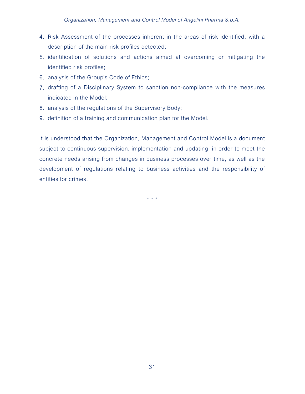- 4. Risk Assessment of the processes inherent in the areas of risk identified, with a description of the main risk profiles detected;
- 5. identification of solutions and actions aimed at overcoming or mitigating the identified risk profiles;
- 6. analysis of the Group's Code of Ethics;
- 7. drafting of a Disciplinary System to sanction non-compliance with the measures indicated in the Model;
- 8. analysis of the regulations of the Supervisory Body;
- 9. definition of a training and communication plan for the Model.

It is understood that the Organization, Management and Control Model is a document subject to continuous supervision, implementation and updating, in order to meet the concrete needs arising from changes in business processes over time, as well as the development of regulations relating to business activities and the responsibility of entities for crimes.

\* \* \*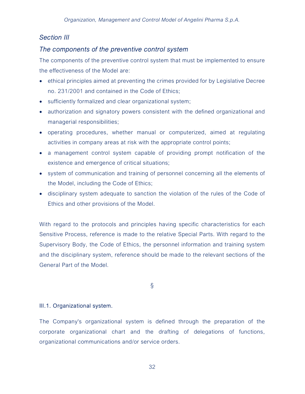## Section III

## The components of the preventive control system

The components of the preventive control system that must be implemented to ensure the effectiveness of the Model are:

- ethical principles aimed at preventing the crimes provided for by Legislative Decree no. 231/2001 and contained in the Code of Ethics;
- sufficiently formalized and clear organizational system;
- authorization and signatory powers consistent with the defined organizational and managerial responsibilities;
- operating procedures, whether manual or computerized, aimed at regulating activities in company areas at risk with the appropriate control points;
- a management control system capable of providing prompt notification of the existence and emergence of critical situations;
- system of communication and training of personnel concerning all the elements of the Model, including the Code of Ethics;
- disciplinary system adequate to sanction the violation of the rules of the Code of Ethics and other provisions of the Model.

With regard to the protocols and principles having specific characteristics for each Sensitive Process, reference is made to the relative Special Parts. With regard to the Supervisory Body, the Code of Ethics, the personnel information and training system and the disciplinary system, reference should be made to the relevant sections of the General Part of the Model.

§

## III.1. Organizational system.

The Company's organizational system is defined through the preparation of the corporate organizational chart and the drafting of delegations of functions, organizational communications and/or service orders.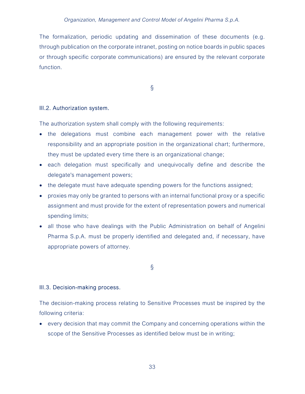The formalization, periodic updating and dissemination of these documents (e.g. through publication on the corporate intranet, posting on notice boards in public spaces or through specific corporate communications) are ensured by the relevant corporate function.

§

### III.2. Authorization system.

The authorization system shall comply with the following requirements:

- the delegations must combine each management power with the relative responsibility and an appropriate position in the organizational chart; furthermore, they must be updated every time there is an organizational change;
- each delegation must specifically and unequivocally define and describe the delegate's management powers;
- the delegate must have adequate spending powers for the functions assigned;
- proxies may only be granted to persons with an internal functional proxy or a specific assignment and must provide for the extent of representation powers and numerical spending limits;
- all those who have dealings with the Public Administration on behalf of Angelini Pharma S.p.A. must be properly identified and delegated and, if necessary, have appropriate powers of attorney.

§

#### III.3. Decision-making process.

The decision-making process relating to Sensitive Processes must be inspired by the following criteria:

 every decision that may commit the Company and concerning operations within the scope of the Sensitive Processes as identified below must be in writing;

33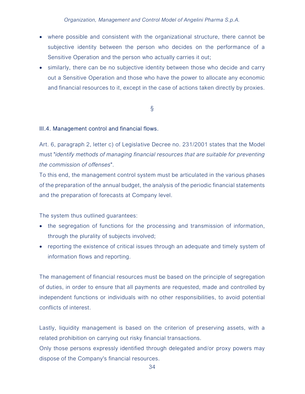- where possible and consistent with the organizational structure, there cannot be subjective identity between the person who decides on the performance of a Sensitive Operation and the person who actually carries it out;
- similarly, there can be no subjective identity between those who decide and carry out a Sensitive Operation and those who have the power to allocate any economic and financial resources to it, except in the case of actions taken directly by proxies.

## §

### III.4. Management control and financial flows.

Art. 6, paragraph 2, letter c) of Legislative Decree no. 231/2001 states that the Model must "identify methods of managing financial resources that are suitable for preventing the commission of offenses".

To this end, the management control system must be articulated in the various phases of the preparation of the annual budget, the analysis of the periodic financial statements and the preparation of forecasts at Company level.

The system thus outlined guarantees:

- the segregation of functions for the processing and transmission of information, through the plurality of subjects involved;
- reporting the existence of critical issues through an adequate and timely system of information flows and reporting.

The management of financial resources must be based on the principle of segregation of duties, in order to ensure that all payments are requested, made and controlled by independent functions or individuals with no other responsibilities, to avoid potential conflicts of interest.

Lastly, liquidity management is based on the criterion of preserving assets, with a related prohibition on carrying out risky financial transactions.

Only those persons expressly identified through delegated and/or proxy powers may dispose of the Company's financial resources.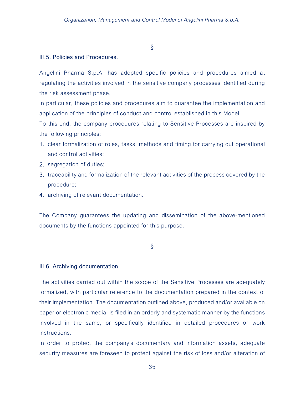§

### III.5. Policies and Procedures.

Angelini Pharma S.p.A. has adopted specific policies and procedures aimed at regulating the activities involved in the sensitive company processes identified during the risk assessment phase.

In particular, these policies and procedures aim to guarantee the implementation and application of the principles of conduct and control established in this Model.

To this end, the company procedures relating to Sensitive Processes are inspired by the following principles:

- 1. clear formalization of roles, tasks, methods and timing for carrying out operational and control activities;
- 2. segregation of duties;
- 3. traceability and formalization of the relevant activities of the process covered by the procedure;
- 4. archiving of relevant documentation.

The Company guarantees the updating and dissemination of the above-mentioned documents by the functions appointed for this purpose.

§

### III.6. Archiving documentation.

The activities carried out within the scope of the Sensitive Processes are adequately formalized, with particular reference to the documentation prepared in the context of their implementation. The documentation outlined above, produced and/or available on paper or electronic media, is filed in an orderly and systematic manner by the functions involved in the same, or specifically identified in detailed procedures or work instructions.

In order to protect the company's documentary and information assets, adequate security measures are foreseen to protect against the risk of loss and/or alteration of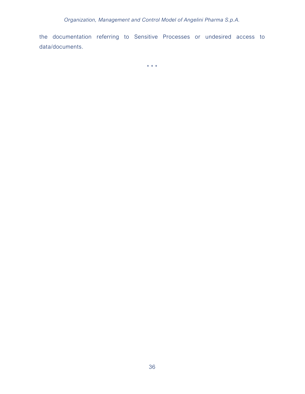the documentation referring to Sensitive Processes or undesired access to data/documents.

\* \* \*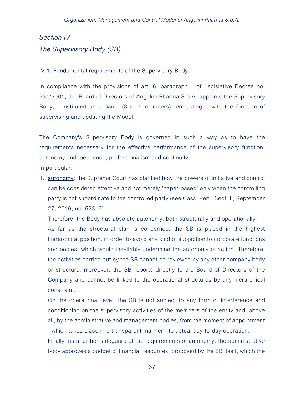# Section IV The Supervisory Body (SB).

### IV.1. Fundamental requirements of the Supervisory Body.

In compliance with the provisions of art. 6, paragraph 1 of Legislative Decree no. 231/2001, the Board of Directors of Angelini Pharma S.p.A. appoints the Supervisory Body, constituted as a panel (3 or 5 members), entrusting it with the function of supervising and updating the Model.

The Company's Supervisory Body is governed in such a way as to have the requirements necessary for the effective performance of the supervisory function: autonomy, independence, professionalism and continuity.

In particular:

1. **autonomy**: the Supreme Court has clarified how the powers of initiative and control can be considered effective and not merely "paper-based" only when the controlling party is not subordinate to the controlled party (see Cass. Pen., Sect. II, September 27, 2016, no. 52316).

Therefore, the Body has absolute autonomy, both structurally and operationally.

As far as the structural plan is concerned, the SB is placed in the highest hierarchical position, in order to avoid any kind of subjection to corporate functions and bodies, which would inevitably undermine the autonomy of action. Therefore, the activities carried out by the SB cannot be reviewed by any other company body or structure; moreover, the SB reports directly to the Board of Directors of the Company and cannot be linked to the operational structures by any hierarchical constraint.

On the operational level, the SB is not subject to any form of interference and conditioning on the supervisory activities of the members of the entity and, above all, by the administrative and management bodies, from the moment of appointment - which takes place in a transparent manner - to actual day-to-day operation.

Finally, as a further safeguard of the requirements of autonomy, the administrative body approves a budget of financial resources, proposed by the SB itself, which the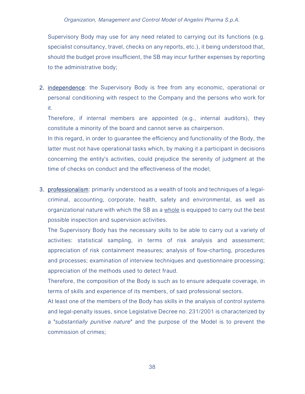Supervisory Body may use for any need related to carrying out its functions (e.g. specialist consultancy, travel, checks on any reports, etc.), it being understood that, should the budget prove insufficient, the SB may incur further expenses by reporting to the administrative body;

2. **independence**: the Supervisory Body is free from any economic, operational or personal conditioning with respect to the Company and the persons who work for it.

Therefore, if internal members are appointed (e.g., internal auditors), they constitute a minority of the board and cannot serve as chairperson.

In this regard, in order to guarantee the efficiency and functionality of the Body, the latter must not have operational tasks which, by making it a participant in decisions concerning the entity's activities, could prejudice the serenity of judgment at the time of checks on conduct and the effectiveness of the model;

3. professionalism: primarily understood as a wealth of tools and techniques of a legalcriminal, accounting, corporate, health, safety and environmental, as well as organizational nature with which the SB as a whole is equipped to carry out the best possible inspection and supervision activities.

The Supervisory Body has the necessary skills to be able to carry out a variety of activities: statistical sampling, in terms of risk analysis and assessment; appreciation of risk containment measures; analysis of flow-charting, procedures and processes; examination of interview techniques and questionnaire processing; appreciation of the methods used to detect fraud.

Therefore, the composition of the Body is such as to ensure adequate coverage, in terms of skills and experience of its members, of said professional sectors.

At least one of the members of the Body has skills in the analysis of control systems and legal-penalty issues, since Legislative Decree no. 231/2001 is characterized by a "substantially punitive nature" and the purpose of the Model is to prevent the commission of crimes;

38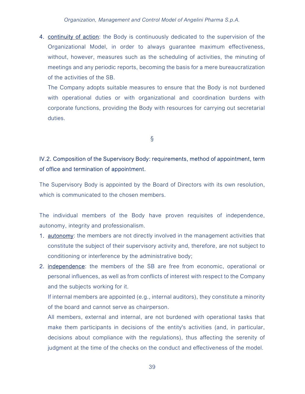4. continuity of action: the Body is continuously dedicated to the supervision of the Organizational Model, in order to always guarantee maximum effectiveness, without, however, measures such as the scheduling of activities, the minuting of meetings and any periodic reports, becoming the basis for a mere bureaucratization of the activities of the SB.

The Company adopts suitable measures to ensure that the Body is not burdened with operational duties or with organizational and coordination burdens with corporate functions, providing the Body with resources for carrying out secretarial duties.

§

## IV.2. Composition of the Supervisory Body: requirements, method of appointment, term of office and termination of appointment.

The Supervisory Body is appointed by the Board of Directors with its own resolution, which is communicated to the chosen members.

The individual members of the Body have proven requisites of independence, autonomy, integrity and professionalism.

- 1. autonomy: the members are not directly involved in the management activities that constitute the subject of their supervisory activity and, therefore, are not subject to conditioning or interference by the administrative body;
- 2. independence: the members of the SB are free from economic, operational or personal influences, as well as from conflicts of interest with respect to the Company and the subjects working for it.

If internal members are appointed (e.g., internal auditors), they constitute a minority of the board and cannot serve as chairperson.

All members, external and internal, are not burdened with operational tasks that make them participants in decisions of the entity's activities (and, in particular, decisions about compliance with the regulations), thus affecting the serenity of judgment at the time of the checks on the conduct and effectiveness of the model.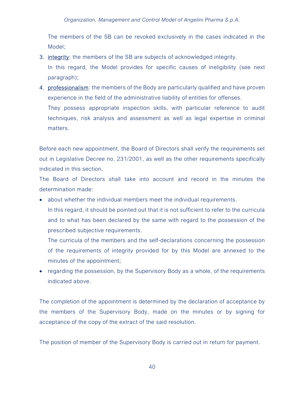#### Organization, Management and Control Model of Angelini Pharma S.p.A.

The members of the SB can be revoked exclusively in the cases indicated in the Model;

3. **integrity**: the members of the SB are subjects of acknowledged integrity.

In this regard, the Model provides for specific causes of ineligibility (see next paragraph);

4. professionalism: the members of the Body are particularly qualified and have proven experience in the field of the administrative liability of entities for offenses.

They possess appropriate inspection skills, with particular reference to audit techniques, risk analysis and assessment as well as legal expertise in criminal matters.

Before each new appointment, the Board of Directors shall verify the requirements set out in Legislative Decree no. 231/2001, as well as the other requirements specifically indicated in this section.

The Board of Directors shall take into account and record in the minutes the determination made:

 about whether the individual members meet the individual requirements. In this regard, it should be pointed out that it is not sufficient to refer to the curricula and to what has been declared by the same with regard to the possession of the prescribed subjective requirements.

The curricula of the members and the self-declarations concerning the possession of the requirements of integrity provided for by this Model are annexed to the minutes of the appointment;

• regarding the possession, by the Supervisory Body as a whole, of the requirements indicated above.

The completion of the appointment is determined by the declaration of acceptance by the members of the Supervisory Body, made on the minutes or by signing for acceptance of the copy of the extract of the said resolution.

The position of member of the Supervisory Body is carried out in return for payment.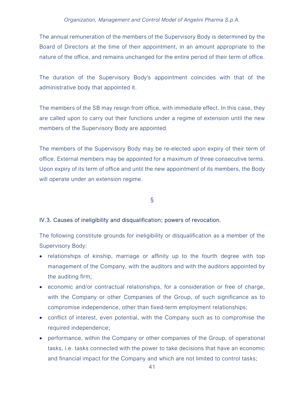The annual remuneration of the members of the Supervisory Body is determined by the Board of Directors at the time of their appointment, in an amount appropriate to the nature of the office, and remains unchanged for the entire period of their term of office.

The duration of the Supervisory Body's appointment coincides with that of the administrative body that appointed it.

The members of the SB may resign from office, with immediate effect. In this case, they are called upon to carry out their functions under a regime of extension until the new members of the Supervisory Body are appointed.

The members of the Supervisory Body may be re-elected upon expiry of their term of office. External members may be appointed for a maximum of three consecutive terms. Upon expiry of its term of office and until the new appointment of its members, the Body will operate under an extension regime.

§

### IV.3. Causes of ineligibility and disqualification; powers of revocation.

The following constitute grounds for ineligibility or disqualification as a member of the Supervisory Body:

- relationships of kinship, marriage or affinity up to the fourth degree with top management of the Company, with the auditors and with the auditors appointed by the auditing firm;
- economic and/or contractual relationships, for a consideration or free of charge, with the Company or other Companies of the Group, of such significance as to compromise independence, other than fixed-term employment relationships;
- conflict of interest, even potential, with the Company such as to compromise the required independence;
- performance, within the Company or other companies of the Group, of operational tasks, i.e. tasks connected with the power to take decisions that have an economic and financial impact for the Company and which are not limited to control tasks;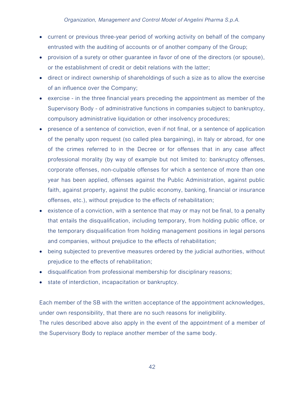- current or previous three-year period of working activity on behalf of the company entrusted with the auditing of accounts or of another company of the Group;
- provision of a surety or other guarantee in favor of one of the directors (or spouse), or the establishment of credit or debit relations with the latter;
- direct or indirect ownership of shareholdings of such a size as to allow the exercise of an influence over the Company;
- exercise in the three financial years preceding the appointment as member of the Supervisory Body - of administrative functions in companies subject to bankruptcy, compulsory administrative liquidation or other insolvency procedures;
- presence of a sentence of conviction, even if not final, or a sentence of application of the penalty upon request (so called plea bargaining), in Italy or abroad, for one of the crimes referred to in the Decree or for offenses that in any case affect professional morality (by way of example but not limited to: bankruptcy offenses, corporate offenses, non-culpable offenses for which a sentence of more than one year has been applied, offenses against the Public Administration, against public faith, against property, against the public economy, banking, financial or insurance offenses, etc.), without prejudice to the effects of rehabilitation;
- existence of a conviction, with a sentence that may or may not be final, to a penalty that entails the disqualification, including temporary, from holding public office, or the temporary disqualification from holding management positions in legal persons and companies, without prejudice to the effects of rehabilitation;
- being subjected to preventive measures ordered by the judicial authorities, without prejudice to the effects of rehabilitation;
- disqualification from professional membership for disciplinary reasons;
- **state of interdiction, incapacitation or bankruptcy.**

Each member of the SB with the written acceptance of the appointment acknowledges, under own responsibility, that there are no such reasons for ineligibility. The rules described above also apply in the event of the appointment of a member of

the Supervisory Body to replace another member of the same body.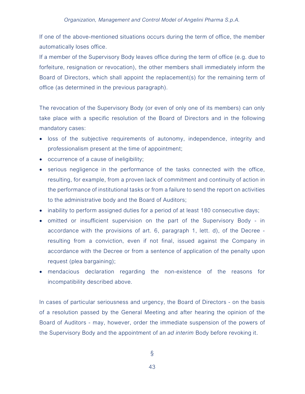If one of the above-mentioned situations occurs during the term of office, the member automatically loses office.

If a member of the Supervisory Body leaves office during the term of office (e.g. due to forfeiture, resignation or revocation), the other members shall immediately inform the Board of Directors, which shall appoint the replacement(s) for the remaining term of office (as determined in the previous paragraph).

The revocation of the Supervisory Body (or even of only one of its members) can only take place with a specific resolution of the Board of Directors and in the following mandatory cases:

- loss of the subjective requirements of autonomy, independence, integrity and professionalism present at the time of appointment;
- occurrence of a cause of ineligibility;
- serious negligence in the performance of the tasks connected with the office, resulting, for example, from a proven lack of commitment and continuity of action in the performance of institutional tasks or from a failure to send the report on activities to the administrative body and the Board of Auditors;
- inability to perform assigned duties for a period of at least 180 consecutive days;
- omitted or insufficient supervision on the part of the Supervisory Body in accordance with the provisions of art. 6, paragraph 1, lett. d), of the Decree resulting from a conviction, even if not final, issued against the Company in accordance with the Decree or from a sentence of application of the penalty upon request (plea bargaining);
- mendacious declaration regarding the non-existence of the reasons for incompatibility described above.

In cases of particular seriousness and urgency, the Board of Directors - on the basis of a resolution passed by the General Meeting and after hearing the opinion of the Board of Auditors - may, however, order the immediate suspension of the powers of the Supervisory Body and the appointment of an ad interim Body before revoking it.

§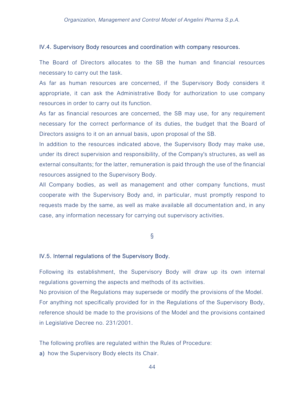#### IV.4. Supervisory Body resources and coordination with company resources.

The Board of Directors allocates to the SB the human and financial resources necessary to carry out the task.

As far as human resources are concerned, if the Supervisory Body considers it appropriate, it can ask the Administrative Body for authorization to use company resources in order to carry out its function.

As far as financial resources are concerned, the SB may use, for any requirement necessary for the correct performance of its duties, the budget that the Board of Directors assigns to it on an annual basis, upon proposal of the SB.

In addition to the resources indicated above, the Supervisory Body may make use, under its direct supervision and responsibility, of the Company's structures, as well as external consultants; for the latter, remuneration is paid through the use of the financial resources assigned to the Supervisory Body.

All Company bodies, as well as management and other company functions, must cooperate with the Supervisory Body and, in particular, must promptly respond to requests made by the same, as well as make available all documentation and, in any case, any information necessary for carrying out supervisory activities.

§

#### IV.5. Internal regulations of the Supervisory Body.

Following its establishment, the Supervisory Body will draw up its own internal regulations governing the aspects and methods of its activities.

No provision of the Regulations may supersede or modify the provisions of the Model. For anything not specifically provided for in the Regulations of the Supervisory Body, reference should be made to the provisions of the Model and the provisions contained in Legislative Decree no. 231/2001.

The following profiles are regulated within the Rules of Procedure:

a) how the Supervisory Body elects its Chair.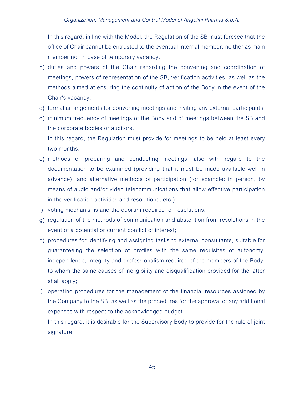In this regard, in line with the Model, the Regulation of the SB must foresee that the office of Chair cannot be entrusted to the eventual internal member, neither as main member nor in case of temporary vacancy;

- b) duties and powers of the Chair regarding the convening and coordination of meetings, powers of representation of the SB, verification activities, as well as the methods aimed at ensuring the continuity of action of the Body in the event of the Chair's vacancy;
- c) formal arrangements for convening meetings and inviting any external participants;
- d) minimum frequency of meetings of the Body and of meetings between the SB and the corporate bodies or auditors.

In this regard, the Regulation must provide for meetings to be held at least every two months;

- e) methods of preparing and conducting meetings, also with regard to the documentation to be examined (providing that it must be made available well in advance), and alternative methods of participation (for example: in person, by means of audio and/or video telecommunications that allow effective participation in the verification activities and resolutions, etc.);
- f) voting mechanisms and the quorum required for resolutions;
- g) regulation of the methods of communication and abstention from resolutions in the event of a potential or current conflict of interest;
- h) procedures for identifying and assigning tasks to external consultants, suitable for guaranteeing the selection of profiles with the same requisites of autonomy, independence, integrity and professionalism required of the members of the Body, to whom the same causes of ineligibility and disqualification provided for the latter shall apply;
- i) operating procedures for the management of the financial resources assigned by the Company to the SB, as well as the procedures for the approval of any additional expenses with respect to the acknowledged budget.

In this regard, it is desirable for the Supervisory Body to provide for the rule of joint signature;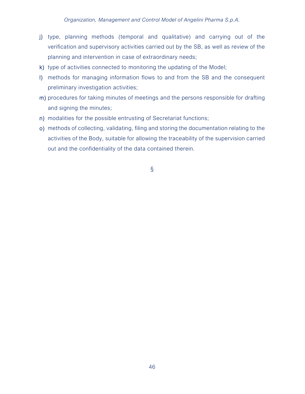- j) type, planning methods (temporal and qualitative) and carrying out of the verification and supervisory activities carried out by the SB, as well as review of the planning and intervention in case of extraordinary needs;
- k) type of activities connected to monitoring the updating of the Model;
- l) methods for managing information flows to and from the SB and the consequent preliminary investigation activities;
- m) procedures for taking minutes of meetings and the persons responsible for drafting and signing the minutes;
- n) modalities for the possible entrusting of Secretariat functions;
- o) methods of collecting, validating, filing and storing the documentation relating to the activities of the Body, suitable for allowing the traceability of the supervision carried out and the confidentiality of the data contained therein.

§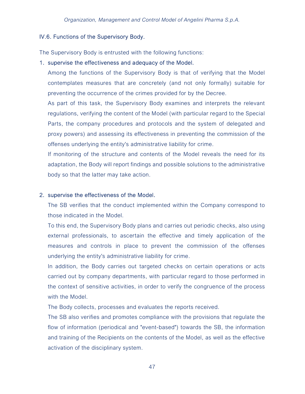### IV.6. Functions of the Supervisory Body.

The Supervisory Body is entrusted with the following functions:

### 1. supervise the effectiveness and adequacy of the Model.

Among the functions of the Supervisory Body is that of verifying that the Model contemplates measures that are concretely (and not only formally) suitable for preventing the occurrence of the crimes provided for by the Decree.

As part of this task, the Supervisory Body examines and interprets the relevant regulations, verifying the content of the Model (with particular regard to the Special Parts, the company procedures and protocols and the system of delegated and proxy powers) and assessing its effectiveness in preventing the commission of the offenses underlying the entity's administrative liability for crime.

If monitoring of the structure and contents of the Model reveals the need for its adaptation, the Body will report findings and possible solutions to the administrative body so that the latter may take action.

### 2. supervise the effectiveness of the Model.

The SB verifies that the conduct implemented within the Company correspond to those indicated in the Model.

To this end, the Supervisory Body plans and carries out periodic checks, also using external professionals, to ascertain the effective and timely application of the measures and controls in place to prevent the commission of the offenses underlying the entity's administrative liability for crime.

In addition, the Body carries out targeted checks on certain operations or acts carried out by company departments, with particular regard to those performed in the context of sensitive activities, in order to verify the congruence of the process with the Model.

The Body collects, processes and evaluates the reports received.

The SB also verifies and promotes compliance with the provisions that regulate the flow of information (periodical and "event-based") towards the SB, the information and training of the Recipients on the contents of the Model, as well as the effective activation of the disciplinary system.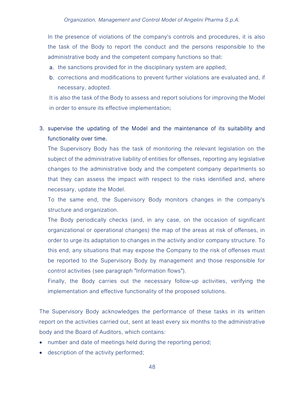In the presence of violations of the company's controls and procedures, it is also the task of the Body to report the conduct and the persons responsible to the administrative body and the competent company functions so that:

- a. the sanctions provided for in the disciplinary system are applied;
- b. corrections and modifications to prevent further violations are evaluated and, if necessary, adopted.

It is also the task of the Body to assess and report solutions for improving the Model in order to ensure its effective implementation;

## 3. supervise the updating of the Model and the maintenance of its suitability and functionality over time.

The Supervisory Body has the task of monitoring the relevant legislation on the subject of the administrative liability of entities for offenses, reporting any legislative changes to the administrative body and the competent company departments so that they can assess the impact with respect to the risks identified and, where necessary, update the Model.

To the same end, the Supervisory Body monitors changes in the company's structure and organization.

The Body periodically checks (and, in any case, on the occasion of significant organizational or operational changes) the map of the areas at risk of offenses, in order to urge its adaptation to changes in the activity and/or company structure. To this end, any situations that may expose the Company to the risk of offenses must be reported to the Supervisory Body by management and those responsible for control activities (see paragraph "Information flows").

Finally, the Body carries out the necessary follow-up activities, verifying the implementation and effective functionality of the proposed solutions.

The Supervisory Body acknowledges the performance of these tasks in its written report on the activities carried out, sent at least every six months to the administrative body and the Board of Auditors, which contains:

- number and date of meetings held during the reporting period;
- description of the activity performed;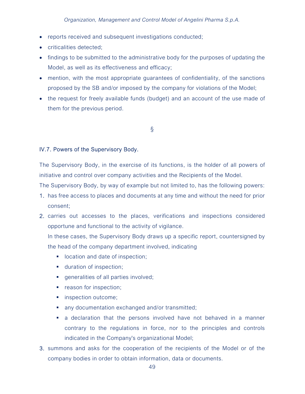- reports received and subsequent investigations conducted;
- criticalities detected;
- findings to be submitted to the administrative body for the purposes of updating the Model, as well as its effectiveness and efficacy;
- mention, with the most appropriate guarantees of confidentiality, of the sanctions proposed by the SB and/or imposed by the company for violations of the Model;
- the request for freely available funds (budget) and an account of the use made of them for the previous period.

§

### IV.7. Powers of the Supervisory Body.

The Supervisory Body, in the exercise of its functions, is the holder of all powers of initiative and control over company activities and the Recipients of the Model.

The Supervisory Body, by way of example but not limited to, has the following powers:

- 1. has free access to places and documents at any time and without the need for prior consent;
- 2. carries out accesses to the places, verifications and inspections considered opportune and functional to the activity of vigilance.

In these cases, the Supervisory Body draws up a specific report, countersigned by the head of the company department involved, indicating

- **If** location and date of inspection;
- **duration of inspection;**
- **qeneralities of all parties involved;**
- **•** reason for inspection;
- **inspection outcome;**
- any documentation exchanged and/or transmitted;
- a declaration that the persons involved have not behaved in a manner contrary to the regulations in force, nor to the principles and controls indicated in the Company's organizational Model;
- 3. summons and asks for the cooperation of the recipients of the Model or of the company bodies in order to obtain information, data or documents.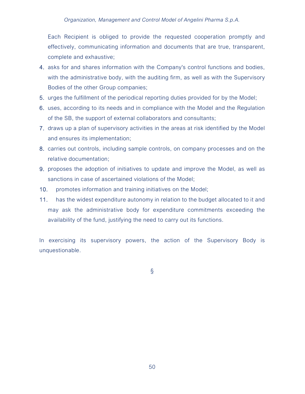Each Recipient is obliged to provide the requested cooperation promptly and effectively, communicating information and documents that are true, transparent, complete and exhaustive;

- 4. asks for and shares information with the Company's control functions and bodies, with the administrative body, with the auditing firm, as well as with the Supervisory Bodies of the other Group companies;
- 5. urges the fulfillment of the periodical reporting duties provided for by the Model;
- 6. uses, according to its needs and in compliance with the Model and the Regulation of the SB, the support of external collaborators and consultants;
- 7. draws up a plan of supervisory activities in the areas at risk identified by the Model and ensures its implementation;
- 8. carries out controls, including sample controls, on company processes and on the relative documentation;
- 9. proposes the adoption of initiatives to update and improve the Model, as well as sanctions in case of ascertained violations of the Model;
- 10. promotes information and training initiatives on the Model;
- 11. has the widest expenditure autonomy in relation to the budget allocated to it and may ask the administrative body for expenditure commitments exceeding the availability of the fund, justifying the need to carry out its functions.

In exercising its supervisory powers, the action of the Supervisory Body is unquestionable.

§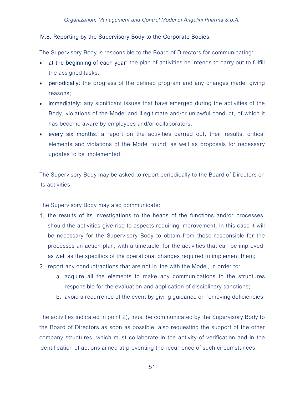### IV.8. Reporting by the Supervisory Body to the Corporate Bodies.

The Supervisory Body is responsible to the Board of Directors for communicating:

- at the beginning of each year: the plan of activities he intends to carry out to fulfill the assigned tasks;
- periodically: the progress of the defined program and any changes made, giving reasons;
- immediately: any significant issues that have emerged during the activities of the Body, violations of the Model and illegitimate and/or unlawful conduct, of which it has become aware by employees and/or collaborators;
- every six months: a report on the activities carried out, their results, critical elements and violations of the Model found, as well as proposals for necessary updates to be implemented.

The Supervisory Body may be asked to report periodically to the Board of Directors on its activities.

The Supervisory Body may also communicate:

- 1. the results of its investigations to the heads of the functions and/or processes, should the activities give rise to aspects requiring improvement. In this case it will be necessary for the Supervisory Body to obtain from those responsible for the processes an action plan, with a timetable, for the activities that can be improved, as well as the specifics of the operational changes required to implement them;
- 2. report any conduct/actions that are not in line with the Model, in order to:
	- a. acquire all the elements to make any communications to the structures responsible for the evaluation and application of disciplinary sanctions;
	- b. avoid a recurrence of the event by giving guidance on removing deficiencies.

The activities indicated in point 2), must be communicated by the Supervisory Body to the Board of Directors as soon as possible, also requesting the support of the other company structures, which must collaborate in the activity of verification and in the identification of actions aimed at preventing the recurrence of such circumstances.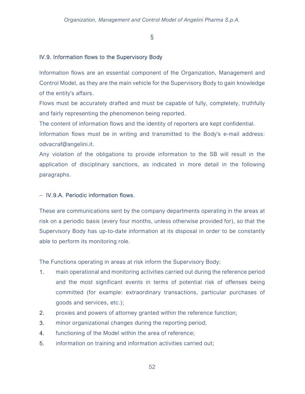§

### IV.9. Information flows to the Supervisory Body

Information flows are an essential component of the Organization, Management and Control Model, as they are the main vehicle for the Supervisory Body to gain knowledge of the entity's affairs.

Flows must be accurately drafted and must be capable of fully, completely, truthfully and fairly representing the phenomenon being reported.

The content of information flows and the identity of reporters are kept confidential.

Information flows must be in writing and transmitted to the Body's e-mail address: odvacraf@angelini.it.

Any violation of the obligations to provide information to the SB will result in the application of disciplinary sanctions, as indicated in more detail in the following paragraphs.

## - IV.9.A. Periodic information flows.

These are communications sent by the company departments operating in the areas at risk on a periodic basis (every four months, unless otherwise provided for), so that the Supervisory Body has up-to-date information at its disposal in order to be constantly able to perform its monitoring role.

The Functions operating in areas at risk inform the Supervisory Body:

- 1. main operational and monitoring activities carried out during the reference period and the most significant events in terms of potential risk of offenses being committed (for example: extraordinary transactions, particular purchases of goods and services, etc.);
- 2. proxies and powers of attorney granted within the reference function;
- 3. minor organizational changes during the reporting period;
- 4. functioning of the Model within the area of reference;
- 5. information on training and information activities carried out;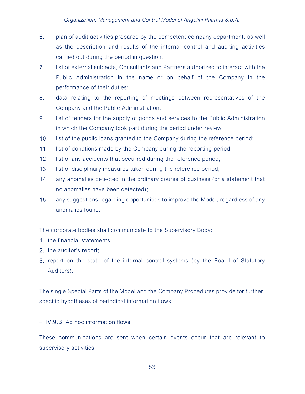- 6. plan of audit activities prepared by the competent company department, as well as the description and results of the internal control and auditing activities carried out during the period in question;
- 7. list of external subjects, Consultants and Partners authorized to interact with the Public Administration in the name or on behalf of the Company in the performance of their duties;
- 8. data relating to the reporting of meetings between representatives of the Company and the Public Administration;
- 9. list of tenders for the supply of goods and services to the Public Administration in which the Company took part during the period under review;
- 10. list of the public loans granted to the Company during the reference period;
- 11. list of donations made by the Company during the reporting period;
- 12. list of any accidents that occurred during the reference period;
- 13. list of disciplinary measures taken during the reference period;
- 14. any anomalies detected in the ordinary course of business (or a statement that no anomalies have been detected);
- 15. any suggestions regarding opportunities to improve the Model, regardless of any anomalies found.

The corporate bodies shall communicate to the Supervisory Body:

- 1. the financial statements;
- 2. the auditor's report;
- 3. report on the state of the internal control systems (by the Board of Statutory Auditors).

The single Special Parts of the Model and the Company Procedures provide for further, specific hypotheses of periodical information flows.

## $-$  IV.9.B. Ad hoc information flows.

These communications are sent when certain events occur that are relevant to supervisory activities.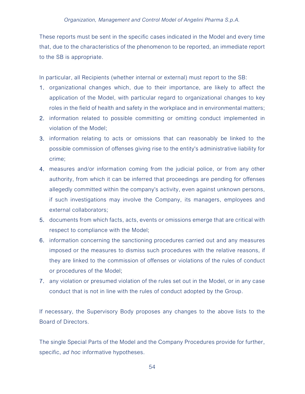These reports must be sent in the specific cases indicated in the Model and every time that, due to the characteristics of the phenomenon to be reported, an immediate report to the SB is appropriate.

In particular, all Recipients (whether internal or external) must report to the SB:

- 1. organizational changes which, due to their importance, are likely to affect the application of the Model, with particular regard to organizational changes to key roles in the field of health and safety in the workplace and in environmental matters;
- 2. information related to possible committing or omitting conduct implemented in violation of the Model;
- 3. information relating to acts or omissions that can reasonably be linked to the possible commission of offenses giving rise to the entity's administrative liability for crime;
- 4. measures and/or information coming from the judicial police, or from any other authority, from which it can be inferred that proceedings are pending for offenses allegedly committed within the company's activity, even against unknown persons, if such investigations may involve the Company, its managers, employees and external collaborators;
- 5. documents from which facts, acts, events or omissions emerge that are critical with respect to compliance with the Model;
- 6. information concerning the sanctioning procedures carried out and any measures imposed or the measures to dismiss such procedures with the relative reasons, if they are linked to the commission of offenses or violations of the rules of conduct or procedures of the Model;
- 7. any violation or presumed violation of the rules set out in the Model, or in any case conduct that is not in line with the rules of conduct adopted by the Group.

If necessary, the Supervisory Body proposes any changes to the above lists to the Board of Directors.

The single Special Parts of the Model and the Company Procedures provide for further, specific, *ad hoc* informative hypotheses.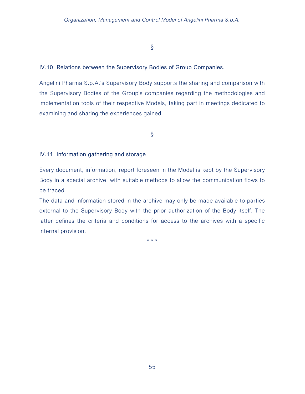## §

## IV.10. Relations between the Supervisory Bodies of Group Companies.

Angelini Pharma S.p.A.'s Supervisory Body supports the sharing and comparison with the Supervisory Bodies of the Group's companies regarding the methodologies and implementation tools of their respective Models, taking part in meetings dedicated to examining and sharing the experiences gained.

§

## IV.11. Information gathering and storage

Every document, information, report foreseen in the Model is kept by the Supervisory Body in a special archive, with suitable methods to allow the communication flows to be traced.

The data and information stored in the archive may only be made available to parties external to the Supervisory Body with the prior authorization of the Body itself. The latter defines the criteria and conditions for access to the archives with a specific internal provision.

\* \* \*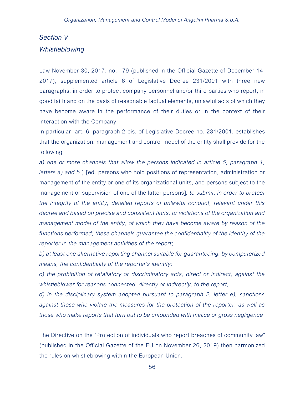# Section V **Whistleblowing**

Law November 30, 2017, no. 179 (published in the Official Gazette of December 14, 2017), supplemented article 6 of Legislative Decree 231/2001 with three new paragraphs, in order to protect company personnel and/or third parties who report, in good faith and on the basis of reasonable factual elements, unlawful acts of which they have become aware in the performance of their duties or in the context of their interaction with the Company.

In particular, art. 6, paragraph 2 bis, of Legislative Decree no. 231/2001, establishes that the organization, management and control model of the entity shall provide for the following

a) one or more channels that allow the persons indicated in article 5, paragraph 1, letters a) and b ) [ed. persons who hold positions of representation, administration or management of the entity or one of its organizational units, and persons subject to the management or supervision of one of the latter persons], to submit, in order to protect the integrity of the entity, detailed reports of unlawful conduct, relevant under this decree and based on precise and consistent facts, or violations of the organization and management model of the entity, of which they have become aware by reason of the functions performed; these channels guarantee the confidentiality of the identity of the reporter in the management activities of the report;

b) at least one alternative reporting channel suitable for guaranteeing, by computerized means, the confidentiality of the reporter's identity;

c) the prohibition of retaliatory or discriminatory acts, direct or indirect, against the whistleblower for reasons connected, directly or indirectly, to the report;

d) in the disciplinary system adopted pursuant to paragraph 2, letter e), sanctions against those who violate the measures for the protection of the reporter, as well as those who make reports that turn out to be unfounded with malice or gross negligence.

The Directive on the "Protection of individuals who report breaches of community law" (published in the Official Gazette of the EU on November 26, 2019) then harmonized the rules on whistleblowing within the European Union.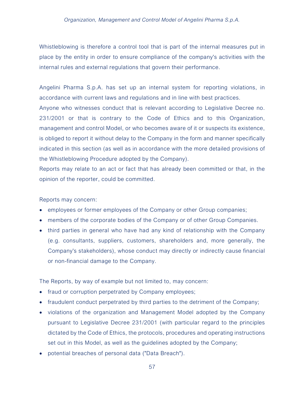Whistleblowing is therefore a control tool that is part of the internal measures put in place by the entity in order to ensure compliance of the company's activities with the internal rules and external regulations that govern their performance.

Angelini Pharma S.p.A. has set up an internal system for reporting violations, in accordance with current laws and regulations and in line with best practices. Anyone who witnesses conduct that is relevant according to Legislative Decree no. 231/2001 or that is contrary to the Code of Ethics and to this Organization, management and control Model, or who becomes aware of it or suspects its existence, is obliged to report it without delay to the Company in the form and manner specifically indicated in this section (as well as in accordance with the more detailed provisions of the Whistleblowing Procedure adopted by the Company).

Reports may relate to an act or fact that has already been committed or that, in the opinion of the reporter, could be committed.

Reports may concern:

- employees or former employees of the Company or other Group companies;
- members of the corporate bodies of the Company or of other Group Companies.
- third parties in general who have had any kind of relationship with the Company (e.g. consultants, suppliers, customers, shareholders and, more generally, the Company's stakeholders), whose conduct may directly or indirectly cause financial or non-financial damage to the Company.

The Reports, by way of example but not limited to, may concern:

- fraud or corruption perpetrated by Company employees;
- fraudulent conduct perpetrated by third parties to the detriment of the Company;
- violations of the organization and Management Model adopted by the Company pursuant to Legislative Decree 231/2001 (with particular regard to the principles dictated by the Code of Ethics, the protocols, procedures and operating instructions set out in this Model, as well as the guidelines adopted by the Company;
- potential breaches of personal data ("Data Breach").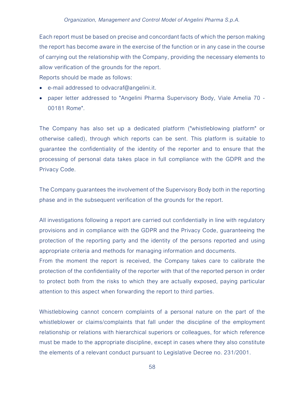#### Organization, Management and Control Model of Angelini Pharma S.p.A.

Each report must be based on precise and concordant facts of which the person making the report has become aware in the exercise of the function or in any case in the course of carrying out the relationship with the Company, providing the necessary elements to allow verification of the grounds for the report.

Reports should be made as follows:

- e-mail addressed to odvacraf@angelini.it.
- paper letter addressed to "Angelini Pharma Supervisory Body, Viale Amelia 70 00181 Rome".

The Company has also set up a dedicated platform ("whistleblowing platform" or otherwise called), through which reports can be sent. This platform is suitable to guarantee the confidentiality of the identity of the reporter and to ensure that the processing of personal data takes place in full compliance with the GDPR and the Privacy Code.

The Company guarantees the involvement of the Supervisory Body both in the reporting phase and in the subsequent verification of the grounds for the report.

All investigations following a report are carried out confidentially in line with regulatory provisions and in compliance with the GDPR and the Privacy Code, guaranteeing the protection of the reporting party and the identity of the persons reported and using appropriate criteria and methods for managing information and documents.

From the moment the report is received, the Company takes care to calibrate the protection of the confidentiality of the reporter with that of the reported person in order to protect both from the risks to which they are actually exposed, paying particular attention to this aspect when forwarding the report to third parties.

Whistleblowing cannot concern complaints of a personal nature on the part of the whistleblower or claims/complaints that fall under the discipline of the employment relationship or relations with hierarchical superiors or colleagues, for which reference must be made to the appropriate discipline, except in cases where they also constitute the elements of a relevant conduct pursuant to Legislative Decree no. 231/2001.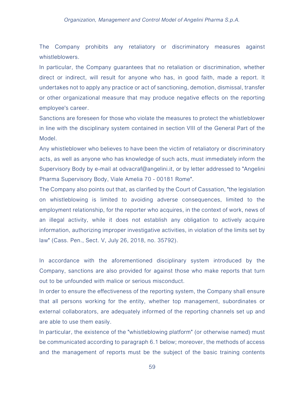#### Organization, Management and Control Model of Angelini Pharma S.p.A.

The Company prohibits any retaliatory or discriminatory measures against whistleblowers.

In particular, the Company guarantees that no retaliation or discrimination, whether direct or indirect, will result for anyone who has, in good faith, made a report. It undertakes not to apply any practice or act of sanctioning, demotion, dismissal, transfer or other organizational measure that may produce negative effects on the reporting employee's career.

Sanctions are foreseen for those who violate the measures to protect the whistleblower in line with the disciplinary system contained in section VIII of the General Part of the Model.

Any whistleblower who believes to have been the victim of retaliatory or discriminatory acts, as well as anyone who has knowledge of such acts, must immediately inform the Supervisory Body by e-mail at odvacraf@angelini.it, or by letter addressed to "Angelini Pharma Supervisory Body, Viale Amelia 70 - 00181 Rome".

The Company also points out that, as clarified by the Court of Cassation, "the legislation on whistleblowing is limited to avoiding adverse consequences, limited to the employment relationship, for the reporter who acquires, in the context of work, news of an illegal activity, while it does not establish any obligation to actively acquire information, authorizing improper investigative activities, in violation of the limits set by law" (Cass. Pen., Sect. V, July 26, 2018, no. 35792).

In accordance with the aforementioned disciplinary system introduced by the Company, sanctions are also provided for against those who make reports that turn out to be unfounded with malice or serious misconduct.

In order to ensure the effectiveness of the reporting system, the Company shall ensure that all persons working for the entity, whether top management, subordinates or external collaborators, are adequately informed of the reporting channels set up and are able to use them easily.

In particular, the existence of the "whistleblowing platform" (or otherwise named) must be communicated according to paragraph 6.1 below; moreover, the methods of access and the management of reports must be the subject of the basic training contents

59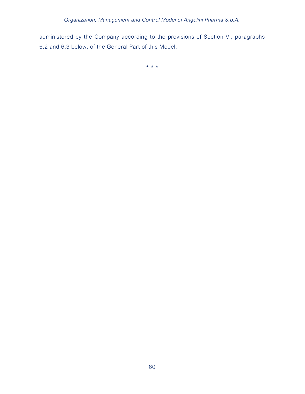administered by the Company according to the provisions of Section VI, paragraphs 6.2 and 6.3 below, of the General Part of this Model.

\* \* \*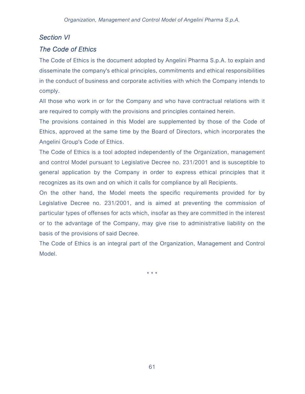## Section VI

## The Code of Ethics

The Code of Ethics is the document adopted by Angelini Pharma S.p.A. to explain and disseminate the company's ethical principles, commitments and ethical responsibilities in the conduct of business and corporate activities with which the Company intends to comply.

All those who work in or for the Company and who have contractual relations with it are required to comply with the provisions and principles contained herein.

The provisions contained in this Model are supplemented by those of the Code of Ethics, approved at the same time by the Board of Directors, which incorporates the Angelini Group's Code of Ethics.

The Code of Ethics is a tool adopted independently of the Organization, management and control Model pursuant to Legislative Decree no. 231/2001 and is susceptible to general application by the Company in order to express ethical principles that it recognizes as its own and on which it calls for compliance by all Recipients.

On the other hand, the Model meets the specific requirements provided for by Legislative Decree no. 231/2001, and is aimed at preventing the commission of particular types of offenses for acts which, insofar as they are committed in the interest or to the advantage of the Company, may give rise to administrative liability on the basis of the provisions of said Decree.

The Code of Ethics is an integral part of the Organization, Management and Control Model.

\* \* \*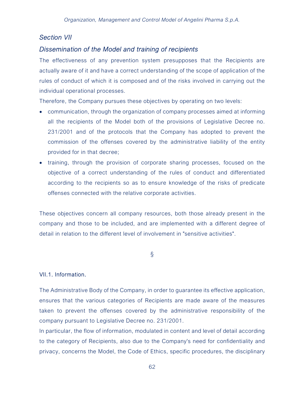## Section VII

## Dissemination of the Model and training of recipients

The effectiveness of any prevention system presupposes that the Recipients are actually aware of it and have a correct understanding of the scope of application of the rules of conduct of which it is composed and of the risks involved in carrying out the individual operational processes.

Therefore, the Company pursues these objectives by operating on two levels:

- communication, through the organization of company processes aimed at informing all the recipients of the Model both of the provisions of Legislative Decree no. 231/2001 and of the protocols that the Company has adopted to prevent the commission of the offenses covered by the administrative liability of the entity provided for in that decree;
- training, through the provision of corporate sharing processes, focused on the objective of a correct understanding of the rules of conduct and differentiated according to the recipients so as to ensure knowledge of the risks of predicate offenses connected with the relative corporate activities.

These objectives concern all company resources, both those already present in the company and those to be included, and are implemented with a different degree of detail in relation to the different level of involvement in "sensitive activities".

§

## VII.1. Information.

The Administrative Body of the Company, in order to guarantee its effective application, ensures that the various categories of Recipients are made aware of the measures taken to prevent the offenses covered by the administrative responsibility of the company pursuant to Legislative Decree no. 231/2001.

In particular, the flow of information, modulated in content and level of detail according to the category of Recipients, also due to the Company's need for confidentiality and privacy, concerns the Model, the Code of Ethics, specific procedures, the disciplinary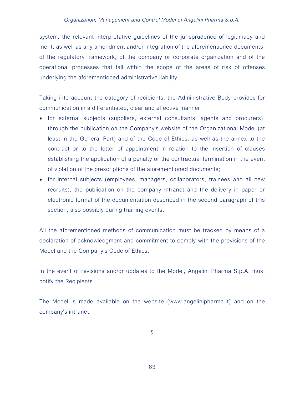system, the relevant interpretative guidelines of the jurisprudence of legitimacy and merit, as well as any amendment and/or integration of the aforementioned documents, of the regulatory framework, of the company or corporate organization and of the operational processes that fall within the scope of the areas of risk of offenses underlying the aforementioned administrative liability.

Taking into account the category of recipients, the Administrative Body provides for communication in a differentiated, clear and effective manner:

- for external subjects (suppliers, external consultants, agents and procurers), through the publication on the Company's website of the Organizational Model (at least in the General Part) and of the Code of Ethics, as well as the annex to the contract or to the letter of appointment in relation to the insertion of clauses establishing the application of a penalty or the contractual termination in the event of violation of the prescriptions of the aforementioned documents;
- for internal subjects (employees, managers, collaborators, trainees and all new recruits), the publication on the company intranet and the delivery in paper or electronic format of the documentation described in the second paragraph of this section, also possibly during training events.

All the aforementioned methods of communication must be tracked by means of a declaration of acknowledgment and commitment to comply with the provisions of the Model and the Company's Code of Ethics.

In the event of revisions and/or updates to the Model, Angelini Pharma S.p.A. must notify the Recipients.

The Model is made available on the website (www.angelinipharma.it) and on the company's intranet.

§

63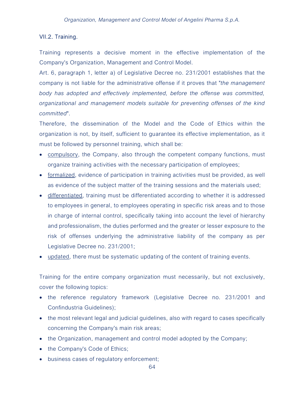### VII.2. Training.

Training represents a decisive moment in the effective implementation of the Company's Organization, Management and Control Model.

Art. 6, paragraph 1, letter a) of Legislative Decree no. 231/2001 establishes that the company is not liable for the administrative offense if it proves that "the management body has adopted and effectively implemented, before the offense was committed, organizational and management models suitable for preventing offenses of the kind committed".

Therefore, the dissemination of the Model and the Code of Ethics within the organization is not, by itself, sufficient to guarantee its effective implementation, as it must be followed by personnel training, which shall be:

- compulsory, the Company, also through the competent company functions, must organize training activities with the necessary participation of employees;
- formalized, evidence of participation in training activities must be provided, as well as evidence of the subject matter of the training sessions and the materials used;
- differentiated, training must be differentiated according to whether it is addressed to employees in general, to employees operating in specific risk areas and to those in charge of internal control, specifically taking into account the level of hierarchy and professionalism, the duties performed and the greater or lesser exposure to the risk of offenses underlying the administrative liability of the company as per Legislative Decree no. 231/2001;
- updated, there must be systematic updating of the content of training events.

Training for the entire company organization must necessarily, but not exclusively, cover the following topics:

- the reference regulatory framework (Legislative Decree no. 231/2001 and Confindustria Guidelines);
- the most relevant legal and judicial guidelines, also with regard to cases specifically concerning the Company's main risk areas;
- the Organization, management and control model adopted by the Company;
- the Company's Code of Ethics;
- business cases of regulatory enforcement;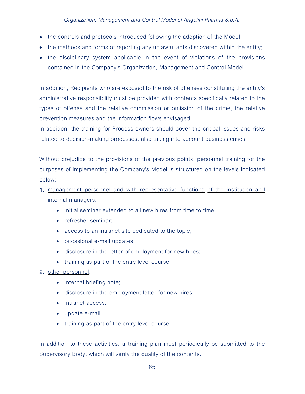- the controls and protocols introduced following the adoption of the Model;
- the methods and forms of reporting any unlawful acts discovered within the entity;
- the disciplinary system applicable in the event of violations of the provisions contained in the Company's Organization, Management and Control Model.

In addition, Recipients who are exposed to the risk of offenses constituting the entity's administrative responsibility must be provided with contents specifically related to the types of offense and the relative commission or omission of the crime, the relative prevention measures and the information flows envisaged.

In addition, the training for Process owners should cover the critical issues and risks related to decision-making processes, also taking into account business cases.

Without prejudice to the provisions of the previous points, personnel training for the purposes of implementing the Company's Model is structured on the levels indicated below:

- 1. management personnel and with representative functions of the institution and internal managers:
	- initial seminar extended to all new hires from time to time;
	- refresher seminar:
	- access to an intranet site dedicated to the topic;
	- occasional e-mail updates;
	- disclosure in the letter of employment for new hires;
	- training as part of the entry level course.
- 2. other personnel:
	- internal briefing note;
	- disclosure in the employment letter for new hires;
	- intranet access;
	- update e-mail;
	- training as part of the entry level course.

In addition to these activities, a training plan must periodically be submitted to the Supervisory Body, which will verify the quality of the contents.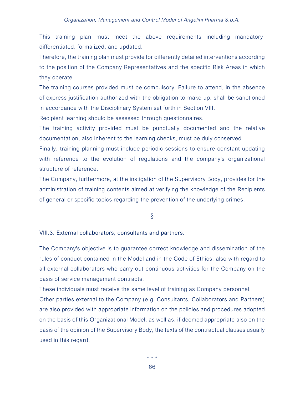#### Organization, Management and Control Model of Angelini Pharma S.p.A.

This training plan must meet the above requirements including mandatory, differentiated, formalized, and updated.

Therefore, the training plan must provide for differently detailed interventions according to the position of the Company Representatives and the specific Risk Areas in which they operate.

The training courses provided must be compulsory. Failure to attend, in the absence of express justification authorized with the obligation to make up, shall be sanctioned in accordance with the Disciplinary System set forth in Section VIII.

Recipient learning should be assessed through questionnaires.

The training activity provided must be punctually documented and the relative documentation, also inherent to the learning checks, must be duly conserved.

Finally, training planning must include periodic sessions to ensure constant updating with reference to the evolution of regulations and the company's organizational structure of reference.

The Company, furthermore, at the instigation of the Supervisory Body, provides for the administration of training contents aimed at verifying the knowledge of the Recipients of general or specific topics regarding the prevention of the underlying crimes.

### §

#### VIII.3. External collaborators, consultants and partners.

The Company's objective is to guarantee correct knowledge and dissemination of the rules of conduct contained in the Model and in the Code of Ethics, also with regard to all external collaborators who carry out continuous activities for the Company on the basis of service management contracts.

These individuals must receive the same level of training as Company personnel.

Other parties external to the Company (e.g. Consultants, Collaborators and Partners) are also provided with appropriate information on the policies and procedures adopted on the basis of this Organizational Model, as well as, if deemed appropriate also on the basis of the opinion of the Supervisory Body, the texts of the contractual clauses usually used in this regard.

\* \* \*

66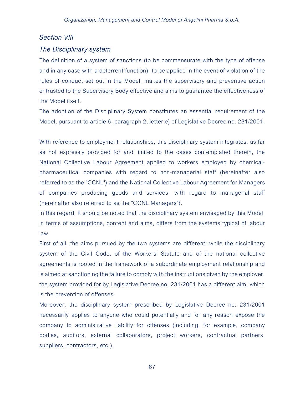## Section VIII

## The Disciplinary system

The definition of a system of sanctions (to be commensurate with the type of offense and in any case with a deterrent function), to be applied in the event of violation of the rules of conduct set out in the Model, makes the supervisory and preventive action entrusted to the Supervisory Body effective and aims to guarantee the effectiveness of the Model itself.

The adoption of the Disciplinary System constitutes an essential requirement of the Model, pursuant to article 6, paragraph 2, letter e) of Legislative Decree no. 231/2001.

With reference to employment relationships, this disciplinary system integrates, as far as not expressly provided for and limited to the cases contemplated therein, the National Collective Labour Agreement applied to workers employed by chemicalpharmaceutical companies with regard to non-managerial staff (hereinafter also referred to as the "CCNL") and the National Collective Labour Agreement for Managers of companies producing goods and services, with regard to managerial staff (hereinafter also referred to as the "CCNL Managers").

In this regard, it should be noted that the disciplinary system envisaged by this Model, in terms of assumptions, content and aims, differs from the systems typical of labour law.

First of all, the aims pursued by the two systems are different: while the disciplinary system of the Civil Code, of the Workers' Statute and of the national collective agreements is rooted in the framework of a subordinate employment relationship and is aimed at sanctioning the failure to comply with the instructions given by the employer, the system provided for by Legislative Decree no. 231/2001 has a different aim, which is the prevention of offenses.

Moreover, the disciplinary system prescribed by Legislative Decree no. 231/2001 necessarily applies to anyone who could potentially and for any reason expose the company to administrative liability for offenses (including, for example, company bodies, auditors, external collaborators, project workers, contractual partners, suppliers, contractors, etc.).

67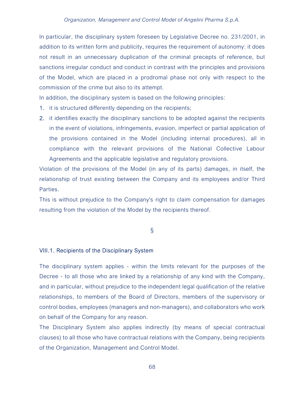In particular, the disciplinary system foreseen by Legislative Decree no. 231/2001, in addition to its written form and publicity, requires the requirement of autonomy: it does not result in an unnecessary duplication of the criminal precepts of reference, but sanctions irregular conduct and conduct in contrast with the principles and provisions of the Model, which are placed in a prodromal phase not only with respect to the commission of the crime but also to its attempt.

In addition, the disciplinary system is based on the following principles:

- 1. it is structured differently depending on the recipients;
- 2. it identifies exactly the disciplinary sanctions to be adopted against the recipients in the event of violations, infringements, evasion, imperfect or partial application of the provisions contained in the Model (including internal procedures), all in compliance with the relevant provisions of the National Collective Labour Agreements and the applicable legislative and regulatory provisions.

Violation of the provisions of the Model (in any of its parts) damages, in itself, the relationship of trust existing between the Company and its employees and/or Third Parties.

This is without prejudice to the Company's right to claim compensation for damages resulting from the violation of the Model by the recipients thereof.

§

### VIII.1. Recipients of the Disciplinary System

The disciplinary system applies - within the limits relevant for the purposes of the Decree - to all those who are linked by a relationship of any kind with the Company, and in particular, without prejudice to the independent legal qualification of the relative relationships, to members of the Board of Directors, members of the supervisory or control bodies, employees (managers and non-managers), and collaborators who work on behalf of the Company for any reason.

The Disciplinary System also applies indirectly (by means of special contractual clauses) to all those who have contractual relations with the Company, being recipients of the Organization, Management and Control Model.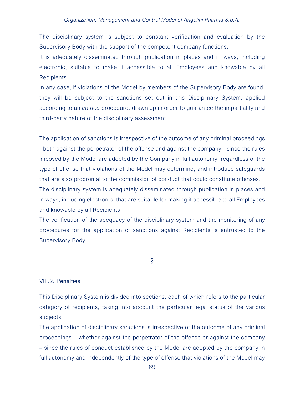#### Organization, Management and Control Model of Angelini Pharma S.p.A.

The disciplinary system is subject to constant verification and evaluation by the Supervisory Body with the support of the competent company functions.

It is adequately disseminated through publication in places and in ways, including electronic, suitable to make it accessible to all Employees and knowable by all Recipients.

In any case, if violations of the Model by members of the Supervisory Body are found, they will be subject to the sanctions set out in this Disciplinary System, applied according to an ad hoc procedure, drawn up in order to guarantee the impartiality and third-party nature of the disciplinary assessment.

The application of sanctions is irrespective of the outcome of any criminal proceedings - both against the perpetrator of the offense and against the company - since the rules imposed by the Model are adopted by the Company in full autonomy, regardless of the type of offense that violations of the Model may determine, and introduce safeguards that are also prodromal to the commission of conduct that could constitute offenses. The disciplinary system is adequately disseminated through publication in places and in ways, including electronic, that are suitable for making it accessible to all Employees

and knowable by all Recipients.

The verification of the adequacy of the disciplinary system and the monitoring of any procedures for the application of sanctions against Recipients is entrusted to the Supervisory Body.

§

#### VIII.2. Penalties

This Disciplinary System is divided into sections, each of which refers to the particular category of recipients, taking into account the particular legal status of the various subjects.

The application of disciplinary sanctions is irrespective of the outcome of any criminal proceedings – whether against the perpetrator of the offense or against the company – since the rules of conduct established by the Model are adopted by the company in full autonomy and independently of the type of offense that violations of the Model may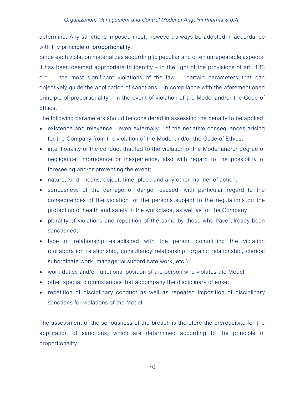determine. Any sanctions imposed must, however, always be adopted in accordance with the **principle of proportionality**.

Since each violation materializes according to peculiar and often unrepeatable aspects, it has been deemed appropriate to identify – in the light of the provisions of art. 133 c.p. – the most significant violations of the law. – certain parameters that can objectively guide the application of sanctions – in compliance with the aforementioned principle of proportionality – in the event of violation of the Model and/or the Code of Ethics.

The following parameters should be considered in assessing the penalty to be applied:

- existence and relevance even externally of the negative consequences arising for the Company from the violation of the Model and/or the Code of Ethics;
- intentionality of the conduct that led to the violation of the Model and/or degree of negligence, imprudence or inexperience, also with regard to the possibility of foreseeing and/or preventing the event;
- nature, kind, means, object, time, place and any other manner of action;
- seriousness of the damage or danger caused, with particular regard to the consequences of the violation for the persons subject to the regulations on the protection of health and safety in the workplace, as well as for the Company;
- plurality of violations and repetition of the same by those who have already been sanctioned;
- type of relationship established with the person committing the violation (collaboration relationship, consultancy relationship, organic relationship, clerical subordinate work, managerial subordinate work, etc.);
- work duties and/or functional position of the person who violates the Model;
- other special circumstances that accompany the disciplinary offense;
- repetition of disciplinary conduct as well as repeated imposition of disciplinary sanctions for violations of the Model.

The assessment of the seriousness of the breach is therefore the prerequisite for the application of sanctions, which are determined according to the principle of proportionality.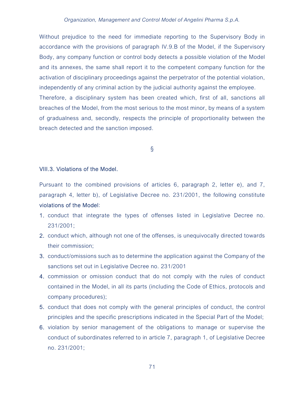Without prejudice to the need for immediate reporting to the Supervisory Body in accordance with the provisions of paragraph IV.9.B of the Model, if the Supervisory Body, any company function or control body detects a possible violation of the Model and its annexes, the same shall report it to the competent company function for the activation of disciplinary proceedings against the perpetrator of the potential violation, independently of any criminal action by the judicial authority against the employee. Therefore, a disciplinary system has been created which, first of all, sanctions all breaches of the Model, from the most serious to the most minor, by means of a system of gradualness and, secondly, respects the principle of proportionality between the breach detected and the sanction imposed.

§

#### VIII.3. Violations of the Model.

Pursuant to the combined provisions of articles 6, paragraph 2, letter e), and 7, paragraph 4, letter b), of Legislative Decree no. 231/2001, the following constitute violations of the Model:

- 1. conduct that integrate the types of offenses listed in Legislative Decree no. 231/2001;
- 2. conduct which, although not one of the offenses, is unequivocally directed towards their commission;
- 3. conduct/omissions such as to determine the application against the Company of the sanctions set out in Legislative Decree no. 231/2001
- 4. commission or omission conduct that do not comply with the rules of conduct contained in the Model, in all its parts (including the Code of Ethics, protocols and company procedures);
- 5. conduct that does not comply with the general principles of conduct, the control principles and the specific prescriptions indicated in the Special Part of the Model;
- 6. violation by senior management of the obligations to manage or supervise the conduct of subordinates referred to in article 7, paragraph 1, of Legislative Decree no. 231/2001;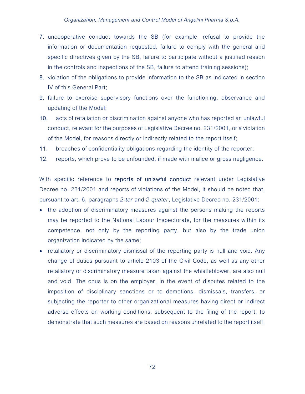- 7. uncooperative conduct towards the SB (for example, refusal to provide the information or documentation requested, failure to comply with the general and specific directives given by the SB, failure to participate without a justified reason in the controls and inspections of the SB, failure to attend training sessions);
- 8. violation of the obligations to provide information to the SB as indicated in section IV of this General Part;
- 9. failure to exercise supervisory functions over the functioning, observance and updating of the Model;
- 10. acts of retaliation or discrimination against anyone who has reported an unlawful conduct, relevant for the purposes of Legislative Decree no. 231/2001, or a violation of the Model, for reasons directly or indirectly related to the report itself;
- 11. breaches of confidentiality obligations regarding the identity of the reporter;
- 12. reports, which prove to be unfounded, if made with malice or gross negligence.

With specific reference to reports of unlawful conduct relevant under Legislative Decree no. 231/2001 and reports of violations of the Model, it should be noted that, pursuant to art. 6, paragraphs 2-ter and 2-quater, Legislative Decree no. 231/2001:

- the adoption of discriminatory measures against the persons making the reports may be reported to the National Labour Inspectorate, for the measures within its competence, not only by the reporting party, but also by the trade union organization indicated by the same;
- retaliatory or discriminatory dismissal of the reporting party is null and void. Any change of duties pursuant to article 2103 of the Civil Code, as well as any other retaliatory or discriminatory measure taken against the whistleblower, are also null and void. The onus is on the employer, in the event of disputes related to the imposition of disciplinary sanctions or to demotions, dismissals, transfers, or subjecting the reporter to other organizational measures having direct or indirect adverse effects on working conditions, subsequent to the filing of the report, to demonstrate that such measures are based on reasons unrelated to the report itself.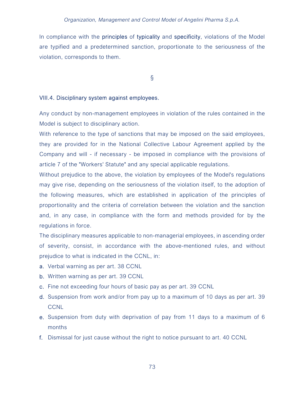In compliance with the **principles** of typicality and specificity, violations of the Model are typified and a predetermined sanction, proportionate to the seriousness of the violation, corresponds to them.

§

### VIII.4. Disciplinary system against employees.

Any conduct by non-management employees in violation of the rules contained in the Model is subject to disciplinary action.

With reference to the type of sanctions that may be imposed on the said employees, they are provided for in the National Collective Labour Agreement applied by the Company and will - if necessary - be imposed in compliance with the provisions of article 7 of the "Workers' Statute" and any special applicable regulations.

Without prejudice to the above, the violation by employees of the Model's regulations may give rise, depending on the seriousness of the violation itself, to the adoption of the following measures, which are established in application of the principles of proportionality and the criteria of correlation between the violation and the sanction and, in any case, in compliance with the form and methods provided for by the regulations in force.

The disciplinary measures applicable to non-managerial employees, in ascending order of severity, consist, in accordance with the above-mentioned rules, and without prejudice to what is indicated in the CCNL, in:

- a. Verbal warning as per art. 38 CCNL
- b. Written warning as per art. 39 CCNL
- c. Fine not exceeding four hours of basic pay as per art. 39 CCNL
- d. Suspension from work and/or from pay up to a maximum of 10 days as per art. 39 **CCNL**
- e. Suspension from duty with deprivation of pay from 11 days to a maximum of 6 months
- f. Dismissal for just cause without the right to notice pursuant to art. 40 CCNL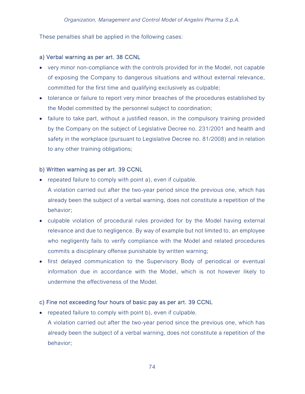These penalties shall be applied in the following cases:

## a) Verbal warning as per art. 38 CCNL

- very minor non-compliance with the controls provided for in the Model, not capable of exposing the Company to dangerous situations and without external relevance, committed for the first time and qualifying exclusively as culpable;
- tolerance or failure to report very minor breaches of the procedures established by the Model committed by the personnel subject to coordination;
- failure to take part, without a justified reason, in the compulsory training provided by the Company on the subject of Legislative Decree no. 231/2001 and health and safety in the workplace (pursuant to Legislative Decree no. 81/2008) and in relation to any other training obligations;

## b) Written warning as per art. 39 CCNL

- repeated failure to comply with point a), even if culpable. A violation carried out after the two-year period since the previous one, which has already been the subject of a verbal warning, does not constitute a repetition of the behavior;
- culpable violation of procedural rules provided for by the Model having external relevance and due to negligence. By way of example but not limited to, an employee who negligently fails to verify compliance with the Model and related procedures commits a disciplinary offense punishable by written warning;
- first delayed communication to the Supervisory Body of periodical or eventual information due in accordance with the Model, which is not however likely to undermine the effectiveness of the Model.

## c) Fine not exceeding four hours of basic pay as per art. 39 CCNL

• repeated failure to comply with point b), even if culpable. A violation carried out after the two-year period since the previous one, which has already been the subject of a verbal warning, does not constitute a repetition of the behavior;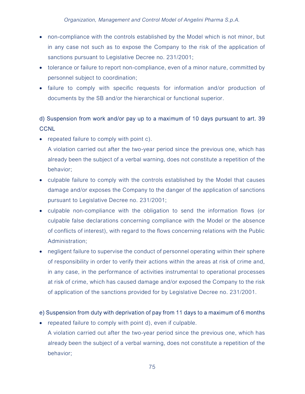- non-compliance with the controls established by the Model which is not minor, but in any case not such as to expose the Company to the risk of the application of sanctions pursuant to Legislative Decree no. 231/2001;
- tolerance or failure to report non-compliance, even of a minor nature, committed by personnel subject to coordination;
- failure to comply with specific requests for information and/or production of documents by the SB and/or the hierarchical or functional superior.

# d) Suspension from work and/or pay up to a maximum of 10 days pursuant to art. 39 **CCNL**

- repeated failure to comply with point c). A violation carried out after the two-year period since the previous one, which has already been the subject of a verbal warning, does not constitute a repetition of the behavior;
- culpable failure to comply with the controls established by the Model that causes damage and/or exposes the Company to the danger of the application of sanctions pursuant to Legislative Decree no. 231/2001;
- culpable non-compliance with the obligation to send the information flows (or culpable false declarations concerning compliance with the Model or the absence of conflicts of interest), with regard to the flows concerning relations with the Public Administration;
- negligent failure to supervise the conduct of personnel operating within their sphere of responsibility in order to verify their actions within the areas at risk of crime and, in any case, in the performance of activities instrumental to operational processes at risk of crime, which has caused damage and/or exposed the Company to the risk of application of the sanctions provided for by Legislative Decree no. 231/2001.

## e) Suspension from duty with deprivation of pay from 11 days to a maximum of 6 months

• repeated failure to comply with point d), even if culpable. A violation carried out after the two-year period since the previous one, which has already been the subject of a verbal warning, does not constitute a repetition of the behavior;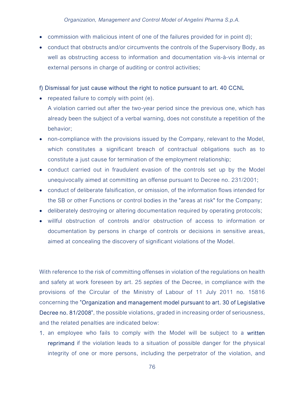- commission with malicious intent of one of the failures provided for in point d);
- conduct that obstructs and/or circumvents the controls of the Supervisory Body, as well as obstructing access to information and documentation vis-à-vis internal or external persons in charge of auditing or control activities;

### f) Dismissal for just cause without the right to notice pursuant to art. 40 CCNL

• repeated failure to comply with point (e).

A violation carried out after the two-year period since the previous one, which has already been the subject of a verbal warning, does not constitute a repetition of the behavior;

- non-compliance with the provisions issued by the Company, relevant to the Model, which constitutes a significant breach of contractual obligations such as to constitute a just cause for termination of the employment relationship;
- conduct carried out in fraudulent evasion of the controls set up by the Model unequivocally aimed at committing an offense pursuant to Decree no. 231/2001;
- conduct of deliberate falsification, or omission, of the information flows intended for the SB or other Functions or control bodies in the "areas at risk" for the Company;
- deliberately destroying or altering documentation required by operating protocols;
- willful obstruction of controls and/or obstruction of access to information or documentation by persons in charge of controls or decisions in sensitive areas, aimed at concealing the discovery of significant violations of the Model.

With reference to the risk of committing offenses in violation of the regulations on health and safety at work foreseen by art. 25 septies of the Decree, in compliance with the provisions of the Circular of the Ministry of Labour of 11 July 2011 no. 15816 concerning the "Organization and management model pursuant to art. 30 of Legislative Decree no. 81/2008", the possible violations, graded in increasing order of seriousness, and the related penalties are indicated below:

1. an employee who fails to comply with the Model will be subject to a written reprimand if the violation leads to a situation of possible danger for the physical integrity of one or more persons, including the perpetrator of the violation, and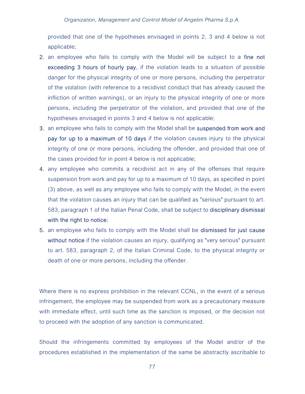provided that one of the hypotheses envisaged in points 2, 3 and 4 below is not applicable;

- 2. an employee who fails to comply with the Model will be subject to a fine not exceeding 3 hours of hourly pay, if the violation leads to a situation of possible danger for the physical integrity of one or more persons, including the perpetrator of the violation (with reference to a recidivist conduct that has already caused the infliction of written warnings), or an injury to the physical integrity of one or more persons, including the perpetrator of the violation, and provided that one of the hypotheses envisaged in points 3 and 4 below is not applicable;
- 3. an employee who fails to comply with the Model shall be suspended from work and pay for up to a maximum of 10 days if the violation causes injury to the physical integrity of one or more persons, including the offender, and provided that one of the cases provided for in point 4 below is not applicable;
- 4. any employee who commits a recidivist act in any of the offenses that require suspension from work and pay for up to a maximum of 10 days, as specified in point (3) above, as well as any employee who fails to comply with the Model, in the event that the violation causes an injury that can be qualified as "serious" pursuant to art. 583, paragraph 1 of the Italian Penal Code, shall be subject to disciplinary dismissal with the right to notice;
- 5. an employee who fails to comply with the Model shall be dismissed for just cause without notice if the violation causes an injury, qualifying as "very serious" pursuant to art. 583, paragraph 2, of the Italian Criminal Code, to the physical integrity or death of one or more persons, including the offender.

Where there is no express prohibition in the relevant CCNL, in the event of a serious infringement, the employee may be suspended from work as a precautionary measure with immediate effect, until such time as the sanction is imposed, or the decision not to proceed with the adoption of any sanction is communicated.

Should the infringements committed by employees of the Model and/or of the procedures established in the implementation of the same be abstractly ascribable to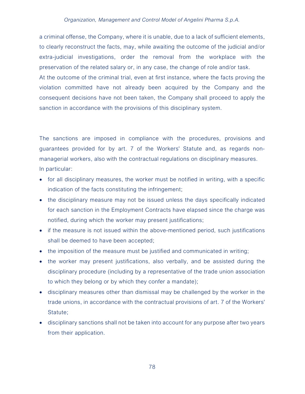### Organization, Management and Control Model of Angelini Pharma S.p.A.

a criminal offense, the Company, where it is unable, due to a lack of sufficient elements, to clearly reconstruct the facts, may, while awaiting the outcome of the judicial and/or extra-judicial investigations, order the removal from the workplace with the preservation of the related salary or, in any case, the change of role and/or task.

At the outcome of the criminal trial, even at first instance, where the facts proving the violation committed have not already been acquired by the Company and the consequent decisions have not been taken, the Company shall proceed to apply the sanction in accordance with the provisions of this disciplinary system.

# The sanctions are imposed in compliance with the procedures, provisions and guarantees provided for by art. 7 of the Workers' Statute and, as regards nonmanagerial workers, also with the contractual regulations on disciplinary measures. In particular:

- for all disciplinary measures, the worker must be notified in writing, with a specific indication of the facts constituting the infringement;
- the disciplinary measure may not be issued unless the days specifically indicated for each sanction in the Employment Contracts have elapsed since the charge was notified, during which the worker may present justifications;
- if the measure is not issued within the above-mentioned period, such justifications shall be deemed to have been accepted;
- the imposition of the measure must be justified and communicated in writing;
- the worker may present justifications, also verbally, and be assisted during the disciplinary procedure (including by a representative of the trade union association to which they belong or by which they confer a mandate);
- disciplinary measures other than dismissal may be challenged by the worker in the trade unions, in accordance with the contractual provisions of art. 7 of the Workers' Statute;
- disciplinary sanctions shall not be taken into account for any purpose after two years from their application.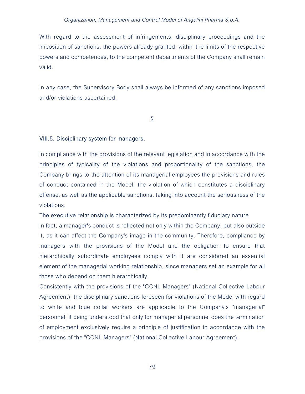#### Organization, Management and Control Model of Angelini Pharma S.p.A.

With regard to the assessment of infringements, disciplinary proceedings and the imposition of sanctions, the powers already granted, within the limits of the respective powers and competences, to the competent departments of the Company shall remain valid.

In any case, the Supervisory Body shall always be informed of any sanctions imposed and/or violations ascertained.

§

### VIII.5. Disciplinary system for managers.

In compliance with the provisions of the relevant legislation and in accordance with the principles of typicality of the violations and proportionality of the sanctions, the Company brings to the attention of its managerial employees the provisions and rules of conduct contained in the Model, the violation of which constitutes a disciplinary offense, as well as the applicable sanctions, taking into account the seriousness of the violations.

The executive relationship is characterized by its predominantly fiduciary nature.

In fact, a manager's conduct is reflected not only within the Company, but also outside it, as it can affect the Company's image in the community. Therefore, compliance by managers with the provisions of the Model and the obligation to ensure that hierarchically subordinate employees comply with it are considered an essential element of the managerial working relationship, since managers set an example for all those who depend on them hierarchically.

Consistently with the provisions of the "CCNL Managers" (National Collective Labour Agreement), the disciplinary sanctions foreseen for violations of the Model with regard to white and blue collar workers are applicable to the Company's "managerial" personnel, it being understood that only for managerial personnel does the termination of employment exclusively require a principle of justification in accordance with the provisions of the "CCNL Managers" (National Collective Labour Agreement).

79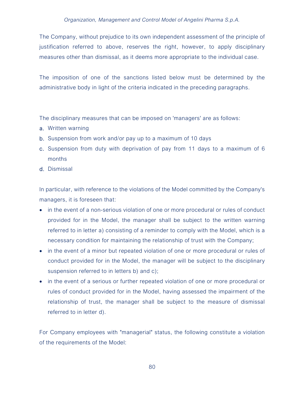The Company, without prejudice to its own independent assessment of the principle of justification referred to above, reserves the right, however, to apply disciplinary measures other than dismissal, as it deems more appropriate to the individual case.

The imposition of one of the sanctions listed below must be determined by the administrative body in light of the criteria indicated in the preceding paragraphs.

The disciplinary measures that can be imposed on 'managers' are as follows:

- a. Written warning
- b. Suspension from work and/or pay up to a maximum of 10 days
- c. Suspension from duty with deprivation of pay from 11 days to a maximum of 6 months
- d. Dismissal

In particular, with reference to the violations of the Model committed by the Company's managers, it is foreseen that:

- in the event of a non-serious violation of one or more procedural or rules of conduct provided for in the Model, the manager shall be subject to the written warning referred to in letter a) consisting of a reminder to comply with the Model, which is a necessary condition for maintaining the relationship of trust with the Company;
- in the event of a minor but repeated violation of one or more procedural or rules of conduct provided for in the Model, the manager will be subject to the disciplinary suspension referred to in letters b) and c);
- in the event of a serious or further repeated violation of one or more procedural or rules of conduct provided for in the Model, having assessed the impairment of the relationship of trust, the manager shall be subject to the measure of dismissal referred to in letter d).

For Company employees with "managerial" status, the following constitute a violation of the requirements of the Model: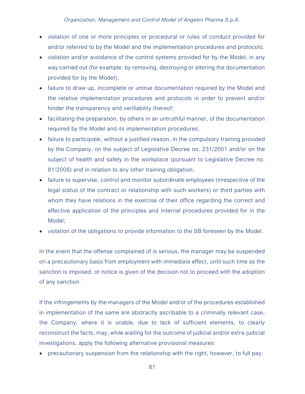- violation of one or more principles or procedural or rules of conduct provided for and/or referred to by the Model and the implementation procedures and protocols;
- violation and/or avoidance of the control systems provided for by the Model, in any way carried out (for example: by removing, destroying or altering the documentation provided for by the Model);
- failure to draw up, incomplete or untrue documentation required by the Model and the relative implementation procedures and protocols in order to prevent and/or hinder the transparency and verifiability thereof;
- facilitating the preparation, by others in an untruthful manner, of the documentation required by the Model and its implementation procedures;
- failure to participate, without a justified reason, in the compulsory training provided by the Company, on the subject of Legislative Decree no. 231/2001 and/or on the subject of health and safety in the workplace (pursuant to Legislative Decree no. 81/2008) and in relation to any other training obligation;
- failure to supervise, control and monitor subordinate employees (irrespective of the legal status of the contract or relationship with such workers) or third parties with whom they have relations in the exercise of their office regarding the correct and effective application of the principles and internal procedures provided for in the Model;
- violation of the obligations to provide information to the SB foreseen by the Model.

In the event that the offense complained of is serious, the manager may be suspended on a precautionary basis from employment with immediate effect, until such time as the sanction is imposed, or notice is given of the decision not to proceed with the adoption of any sanction.

If the infringements by the managers of the Model and/or of the procedures established in implementation of the same are abstractly ascribable to a criminally relevant case, the Company, where it is unable, due to lack of sufficient elements, to clearly reconstruct the facts, may, while waiting for the outcome of judicial and/or extra-judicial investigations, apply the following alternative provisional measures:

precautionary suspension from the relationship with the right, however, to full pay;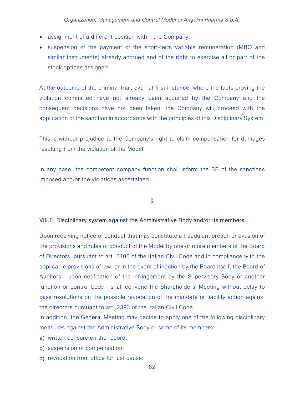- assignment of a different position within the Company;
- suspension of the payment of the short-term variable remuneration (MBO and similar instruments) already accrued and of the right to exercise all or part of the stock options assigned.

At the outcome of the criminal trial, even at first instance, where the facts proving the violation committed have not already been acquired by the Company and the consequent decisions have not been taken, the Company will proceed with the application of the sanction in accordance with the principles of this Disciplinary System.

This is without prejudice to the Company's right to claim compensation for damages resulting from the violation of the Model.

In any case, the competent company function shall inform the SB of the sanctions imposed and/or the violations ascertained.

§

### VIII.6. Disciplinary system against the Administrative Body and/or its members.

Upon receiving notice of conduct that may constitute a fraudulent breach or evasion of the provisions and rules of conduct of the Model by one or more members of the Board of Directors, pursuant to art. 2406 of the Italian Civil Code and in compliance with the applicable provisions of law, or in the event of inaction by the Board itself, the Board of Auditors - upon notification of the infringement by the Supervisory Body or another function or control body - shall convene the Shareholders' Meeting without delay to pass resolutions on the possible revocation of the mandate or liability action against the directors pursuant to art. 2393 of the Italian Civil Code.

In addition, the General Meeting may decide to apply one of the following disciplinary measures against the Administrative Body or some of its members:

- a) written censure on the record;
- b) suspension of compensation;
- c) revocation from office for just cause.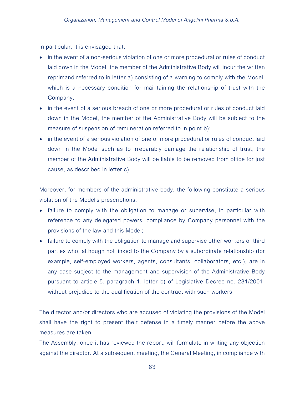In particular, it is envisaged that:

- in the event of a non-serious violation of one or more procedural or rules of conduct laid down in the Model, the member of the Administrative Body will incur the written reprimand referred to in letter a) consisting of a warning to comply with the Model, which is a necessary condition for maintaining the relationship of trust with the Company;
- in the event of a serious breach of one or more procedural or rules of conduct laid down in the Model, the member of the Administrative Body will be subject to the measure of suspension of remuneration referred to in point b);
- in the event of a serious violation of one or more procedural or rules of conduct laid down in the Model such as to irreparably damage the relationship of trust, the member of the Administrative Body will be liable to be removed from office for just cause, as described in letter c).

Moreover, for members of the administrative body, the following constitute a serious violation of the Model's prescriptions:

- failure to comply with the obligation to manage or supervise, in particular with reference to any delegated powers, compliance by Company personnel with the provisions of the law and this Model;
- failure to comply with the obligation to manage and supervise other workers or third parties who, although not linked to the Company by a subordinate relationship (for example, self-employed workers, agents, consultants, collaborators, etc.), are in any case subject to the management and supervision of the Administrative Body pursuant to article 5, paragraph 1, letter b) of Legislative Decree no. 231/2001, without prejudice to the qualification of the contract with such workers.

The director and/or directors who are accused of violating the provisions of the Model shall have the right to present their defense in a timely manner before the above measures are taken.

The Assembly, once it has reviewed the report, will formulate in writing any objection against the director. At a subsequent meeting, the General Meeting, in compliance with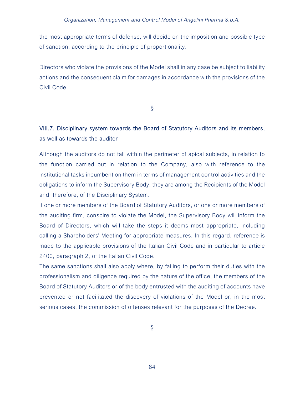the most appropriate terms of defense, will decide on the imposition and possible type of sanction, according to the principle of proportionality.

Directors who violate the provisions of the Model shall in any case be subject to liability actions and the consequent claim for damages in accordance with the provisions of the Civil Code.

§

# VIII.7. Disciplinary system towards the Board of Statutory Auditors and its members, as well as towards the auditor

Although the auditors do not fall within the perimeter of apical subjects, in relation to the function carried out in relation to the Company, also with reference to the institutional tasks incumbent on them in terms of management control activities and the obligations to inform the Supervisory Body, they are among the Recipients of the Model and, therefore, of the Disciplinary System.

If one or more members of the Board of Statutory Auditors, or one or more members of the auditing firm, conspire to violate the Model, the Supervisory Body will inform the Board of Directors, which will take the steps it deems most appropriate, including calling a Shareholders' Meeting for appropriate measures. In this regard, reference is made to the applicable provisions of the Italian Civil Code and in particular to article 2400, paragraph 2, of the Italian Civil Code.

The same sanctions shall also apply where, by failing to perform their duties with the professionalism and diligence required by the nature of the office, the members of the Board of Statutory Auditors or of the body entrusted with the auditing of accounts have prevented or not facilitated the discovery of violations of the Model or, in the most serious cases, the commission of offenses relevant for the purposes of the Decree.

§

84